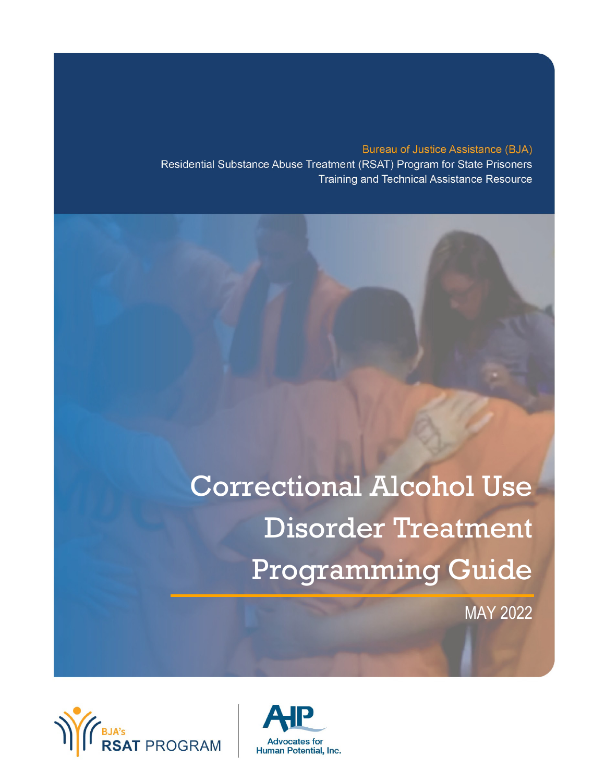**Bureau of Justice Assistance (BJA)** Residential Substance Abuse Treatment (RSAT) Program for State Prisoners Training and Technical Assistance Resource

# Correctional Alcohol Use Disorder Treatment Programming Guide

MAY 2022



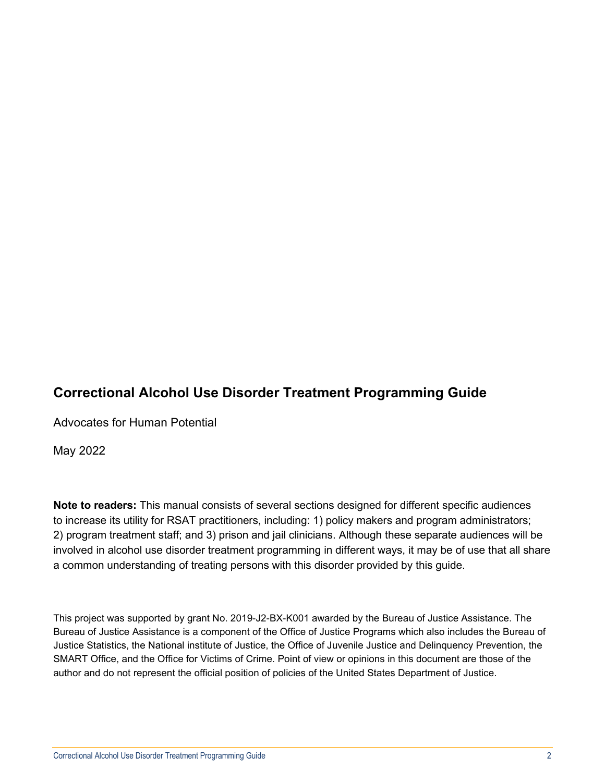## **Correctional Alcohol Use Disorder Treatment Programming Guide**

Advocates for Human Potential

May 2022

**Note to readers:** This manual consists of several sections designed for different specific audiences to increase its utility for RSAT practitioners, including: 1) policy makers and program administrators; 2) program treatment staff; and 3) prison and jail clinicians. Although these separate audiences will be involved in alcohol use disorder treatment programming in different ways, it may be of use that all share a common understanding of treating persons with this disorder provided by this guide.

This project was supported by grant No. 2019-J2-BX-K001 awarded by the Bureau of Justice Assistance. The Bureau of Justice Assistance is a component of the Office of Justice Programs which also includes the Bureau of Justice Statistics, the National institute of Justice, the Office of Juvenile Justice and Delinquency Prevention, the SMART Office, and the Office for Victims of Crime. Point of view or opinions in this document are those of the author and do not represent the official position of policies of the United States Department of Justice.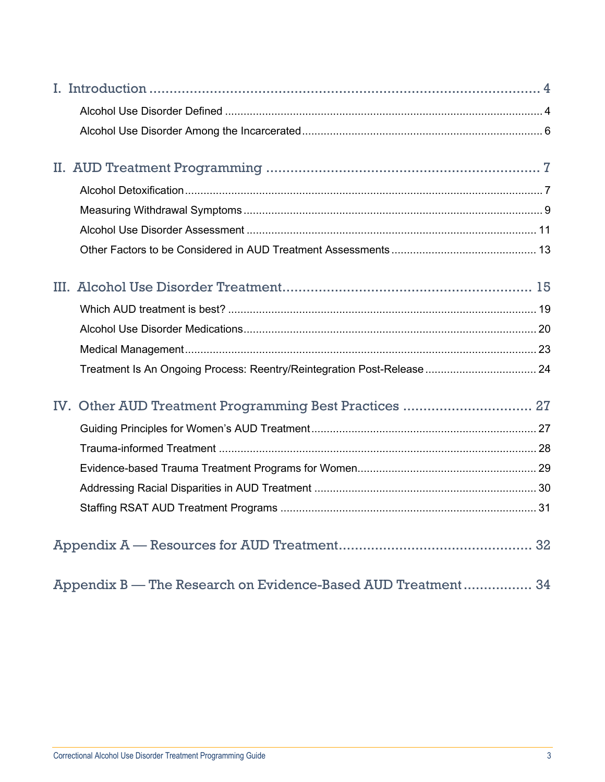|                                                              | Treatment Is An Ongoing Process: Reentry/Reintegration Post-Release  24 |  |
|--------------------------------------------------------------|-------------------------------------------------------------------------|--|
|                                                              | IV. Other AUD Treatment Programming Best Practices  27                  |  |
|                                                              |                                                                         |  |
|                                                              |                                                                         |  |
|                                                              |                                                                         |  |
|                                                              |                                                                         |  |
|                                                              |                                                                         |  |
|                                                              |                                                                         |  |
| Appendix B — The Research on Evidence-Based AUD Treatment 34 |                                                                         |  |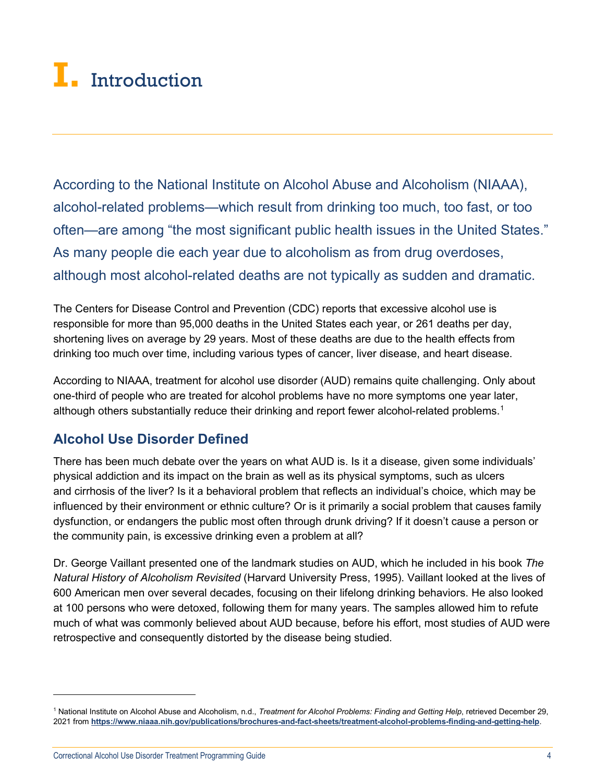## <span id="page-3-0"></span>**I.** Introduction

According to the National Institute on Alcohol Abuse and Alcoholism (NIAAA), alcohol-related problems—which result from drinking too much, too fast, or too often—are among "the most significant public health issues in the United States." As many people die each year due to alcoholism as from drug overdoses, although most alcohol-related deaths are not typically as sudden and dramatic.

The Centers for Disease Control and Prevention (CDC) reports that excessive alcohol use is responsible for [more than 95,000 deaths in the United States each year,](https://www.cdc.gov/mmwr/volumes/69/wr/mm6939a6.htm) or 261 deaths per day, shortening lives on average by 29 years. Most of these deaths are due to the health effects from drinking too much over time, including various types of cancer, liver disease, and heart disease.

According to NIAAA, treatment for alcohol use disorder (AUD) remains quite challenging. Only about one-third of people who are treated for alcohol problems have no more symptoms one year later, although others substantially reduce their drinking and report fewer alcohol-related problems. $^{\rm 1}$  $^{\rm 1}$  $^{\rm 1}$ 

## <span id="page-3-1"></span>**Alcohol Use Disorder Defined**

There has been much debate over the years on what AUD is. Is it a disease, given some individuals' physical addiction and its impact on the brain as well as its physical symptoms, such as ulcers and [cirrhosis](https://en.wikipedia.org/wiki/Cirrhosis) of the liver? Is it a behavioral problem that reflects an individual's choice, which may be influenced by their environment or ethnic culture? Or is it primarily a social problem that causes family dysfunction, or endangers the public most often through drunk driving? If it doesn't cause a person or the community pain, is excessive drinking even a problem at all?

Dr. George Vaillant presented one of the landmark studies on AUD, which he included in his book *The Natural History of Alcoholism Revisited* (Harvard University Press, 1995). Vaillant looked at the lives of 600 American men over several decades, focusing on their lifelong drinking behaviors. He also looked at 100 persons who were detoxed, following them for many years. The samples allowed him to refute much of what was commonly believed about AUD because, before his effort, most studies of AUD were retrospective and consequently distorted by the disease being studied.

<span id="page-3-2"></span><sup>1</sup> National Institute on Alcohol Abuse and Alcoholism, n.d., *Treatment for Alcohol Problems: Finding and Getting Help*, retrieved December 29, 2021 from **<https://www.niaaa.nih.gov/publications/brochures-and-fact-sheets/treatment-alcohol-problems-finding-and-getting-help>**.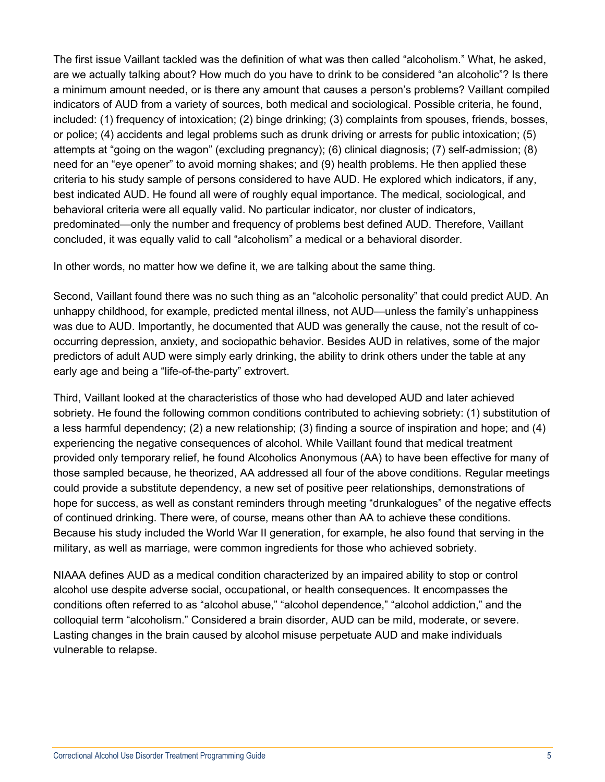The first issue Vaillant tackled was the definition of what was then called "alcoholism." What, he asked, are we actually talking about? How much do you have to drink to be considered "an alcoholic"? Is there a minimum amount needed, or is there any amount that causes a person's problems? Vaillant compiled indicators of AUD from a variety of sources, both medical and sociological. Possible criteria, he found, included: (1) frequency of intoxication; (2) binge drinking; (3) complaints from spouses, friends, bosses, or police; (4) accidents and legal problems such as drunk driving or arrests for public intoxication; (5) attempts at "going on the wagon" (excluding pregnancy); (6) clinical diagnosis; (7) self-admission; (8) need for an "eye opener" to avoid [morning shakes;](https://en.wikipedia.org/wiki/Delirium_tremens) and (9) health problems. He then applied these criteria to his study sample of persons considered to have AUD. He explored which indicators, if any, best indicated AUD. He found all were of roughly equal importance. The medical, sociological, and behavioral criteria were all equally valid. No particular indicator, nor cluster of indicators, predominated—only the number and frequency of problems best defined AUD. Therefore, Vaillant concluded, it was equally valid to call "alcoholism" a medical or a behavioral disorder.

In other words, no matter how we define it, we are talking about the same thing.

Second, Vaillant found there was no such thing as an "alcoholic personality" that could predict AUD. An unhappy childhood, for example, predicted mental illness, not AUD—unless the family's unhappiness was due to AUD. Importantly, he documented that AUD was generally the cause, not the result of cooccurring [depression,](https://en.wikipedia.org/wiki/Clinical_depression) [anxiety,](https://en.wikipedia.org/wiki/Anxiety) and [sociopathic](https://en.wikipedia.org/wiki/Psychopathy) behavior. Besides AUD in relatives, some of the major predictors of adult AUD were simply early drinking, the ability to drink others under the table at any early age and being a "life-of-the-party" extrovert.

Third, Vaillant looked at the characteristics of those who had developed AUD and later achieved sobriety. He found the following common conditions contributed to achieving sobriety: (1) substitution of a less harmful dependency; (2) a new relationship; (3) finding a source of inspiration and hope; and (4) experiencing the negative consequences of alcohol. While Vaillant found that medical treatment provided only temporary relief, he found Alcoholics Anonymous (AA) to have been effective for many of those sampled because, he theorized, AA addressed all four of the above conditions. Regular meetings could provide a substitute dependency, a new set of positive peer relationships, demonstrations of hope for success, as well as constant reminders through meeting "drunkalogues" of the negative effects of continued drinking. There were, of course, means other than AA to achieve these conditions. Because his study included the World War II generation, for example, he also found that serving in the military, as well as marriage, were common ingredients for those who achieved sobriety.

NIAAA defines AUD as a medical condition characterized by an impaired ability to stop or control alcohol use despite adverse social, occupational, or health consequences. It encompasses the conditions often referred to as "alcohol abuse," "alcohol dependence," "alcohol addiction," and the colloquial term "alcoholism." Considered a brain disorder, AUD can be mild, moderate, or severe. Lasting changes in the brain caused by alcohol misuse perpetuate AUD and make individuals vulnerable to relapse.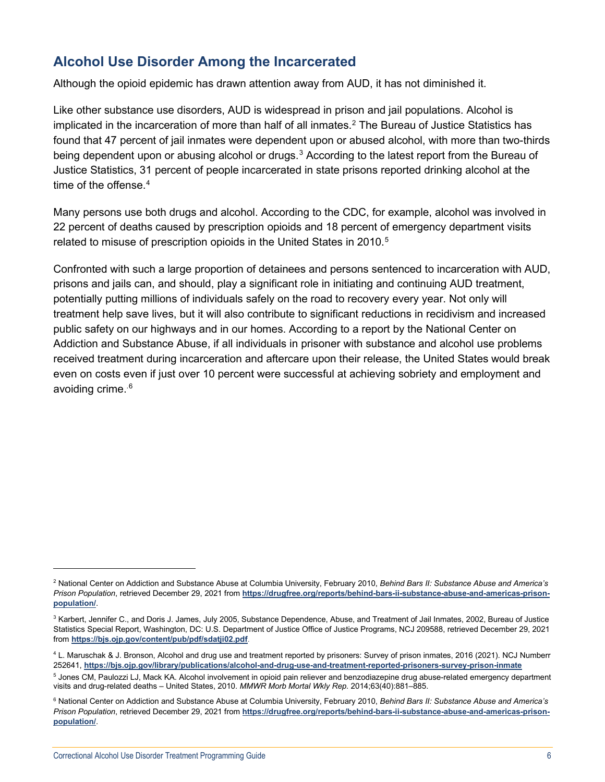## <span id="page-5-0"></span>**Alcohol Use Disorder Among the Incarcerated**

Although the opioid epidemic has drawn attention away from AUD, it has not diminished it.

Like other substance use disorders, AUD is widespread in prison and jail populations. Alcohol is implicated in the incarceration of more than half of all inmates.<sup>[2](#page-5-1)</sup> The Bureau of Justice Statistics has found that 47 percent of jail inmates were dependent upon or abused alcohol, with more than two-thirds being dependent upon or abusing alcohol or drugs.<sup>[3](#page-5-2)</sup> According to the latest report from the Bureau of Justice Statistics, 31 percent of people incarcerated in state prisons reported drinking alcohol at the time of the offense. [4](#page-5-3)

Many persons use both drugs and alcohol. According to the CDC, for example, alcohol was involved in 22 percent of deaths caused by prescription opioids and 18 percent of emergency department visits related to misuse of prescription opioids in the United States in 2010.<sup>[5](#page-5-4)</sup>

Confronted with such a large proportion of detainees and persons sentenced to incarceration with AUD, prisons and jails can, and should, play a significant role in initiating and continuing AUD treatment, potentially putting millions of individuals safely on the road to recovery every year. Not only will treatment help save lives, but it will also contribute to significant reductions in recidivism and increased public safety on our highways and in our homes. According to a report by the [National Center on](https://www.centeronaddiction.org/)  [Addiction and Substance Abuse,](https://www.centeronaddiction.org/) if all individuals in prisoner with substance and alcohol use problems received treatment during incarceration and aftercare upon their release, the United States would break even on costs even if just over 10 percent were successful at achieving sobriety and employment and avoiding crime. [.6](#page-5-5)

<span id="page-5-1"></span><sup>2</sup> National Center on Addiction and Substance Abuse at Columbia University, February 2010, *Behind Bars II: Substance Abuse and America's Prison Population*, retrieved December 29, 2021 from **[https://drugfree.org/reports/behind-bars-ii-substance-abuse-and-americas-prison](https://drugfree.org/reports/behind-bars-ii-substance-abuse-and-americas-prison-population/)[population/](https://drugfree.org/reports/behind-bars-ii-substance-abuse-and-americas-prison-population/)**.

<span id="page-5-2"></span><sup>&</sup>lt;sup>3</sup> Karbert, Jennifer C., and Doris J. James, July 2005, Substance Dependence, Abuse, and Treatment of Jail Inmates, 2002, Bureau of Justice Statistics Special Report, Washington, DC: U.S. Department of Justice Office of Justice Programs, NCJ 209588, retrieved December 29, 2021 from **<https://bjs.ojp.gov/content/pub/pdf/sdatji02.pdf>**.

<span id="page-5-3"></span><sup>4</sup> L. Maruschak & J. Bronson, Alcohol and drug use and treatment reported by prisoners: Survey of prison inmates, 2016 (2021). NCJ Numberr 252641, **<https://bjs.ojp.gov/library/publications/alcohol-and-drug-use-and-treatment-reported-prisoners-survey-prison-inmate>**

<span id="page-5-4"></span><sup>5</sup> Jones CM, Paulozzi LJ, Mack KA. [Alcohol involvement in opioid pain reliever and benzodiazepine drug abuse-related emergency department](https://www.cdc.gov/mmwr/preview/mmwrhtml/mm6340a1.htm)  [visits and drug-related deaths –](https://www.cdc.gov/mmwr/preview/mmwrhtml/mm6340a1.htm) United States, 2010. *MMWR Morb Mortal Wkly Rep.* 2014;63(40):881–885.

<span id="page-5-5"></span><sup>6</sup> National Center on Addiction and Substance Abuse at Columbia University, February 2010, *Behind Bars II: Substance Abuse and America's Prison Population*, retrieved December 29, 2021 from **[https://drugfree.org/reports/behind-bars-ii-substance-abuse-and-americas-prison](https://drugfree.org/reports/behind-bars-ii-substance-abuse-and-americas-prison-population/)[population/](https://drugfree.org/reports/behind-bars-ii-substance-abuse-and-americas-prison-population/)**.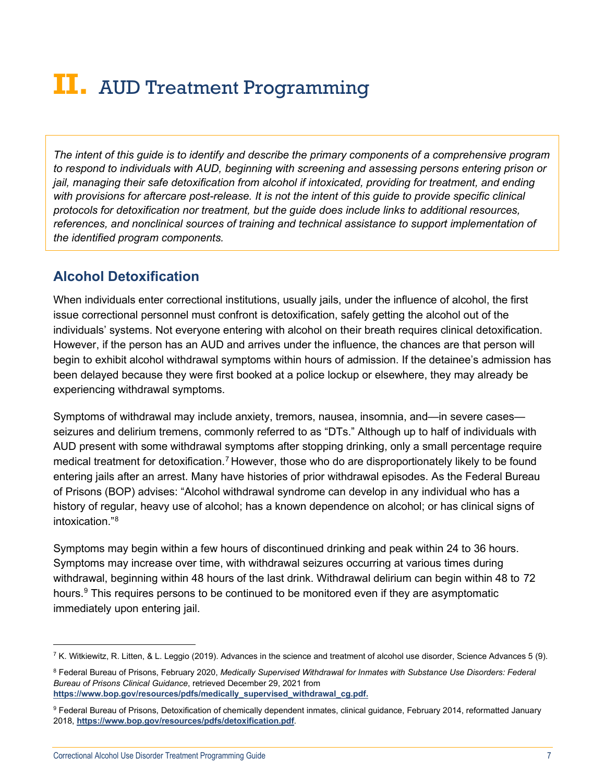## <span id="page-6-0"></span>**II.** AUD Treatment Programming

*The intent of this guide is to identify and describe the primary components of a comprehensive program to respond to individuals with AUD, beginning with screening and assessing persons entering prison or jail, managing their safe detoxification from alcohol if intoxicated, providing for treatment, and ending with provisions for aftercare post-release. It is not the intent of this guide to provide specific clinical protocols for detoxification nor treatment, but the guide does include links to additional resources, references, and nonclinical sources of training and technical assistance to support implementation of the identified program components.* 

## <span id="page-6-1"></span>**Alcohol Detoxification**

When individuals enter correctional institutions, usually jails, under the influence of alcohol, the first issue correctional personnel must confront is detoxification, safely getting the alcohol out of the individuals' systems. Not everyone entering with alcohol on their breath requires clinical detoxification. However, if the person has an AUD and arrives under the influence, the chances are that person will begin to exhibit alcohol withdrawal symptoms within hours of admission. If the detainee's admission has been delayed because they were first booked at a police lockup or elsewhere, they may already be experiencing withdrawal symptoms.

Symptoms of withdrawal may include anxiety, tremors, nausea, insomnia, and—in severe cases seizures and delirium tremens, commonly referred to as "DTs." Although up to half of individuals with AUD present with some withdrawal symptoms after stopping drinking, only a small percentage require medical treatment for detoxification.<sup>[7](#page-6-2)</sup> However, those who do are disproportionately likely to be found entering jails after an arrest. Many have histories of prior withdrawal episodes. As the Federal Bureau of Prisons (BOP) advises: "Alcohol withdrawal syndrome can develop in any individual who has a history of regular, heavy use of alcohol; has a known dependence on alcohol; or has clinical signs of intoxication<sup>"[8](#page-6-3)</sup>

Symptoms may begin within a few hours of discontinued drinking and peak within 24 to 36 hours. Symptoms may increase over time, with withdrawal seizures occurring at various times during withdrawal, beginning within 48 hours of the last drink. Withdrawal delirium can begin within 48 to 72 hours.<sup>[9](#page-6-4)</sup> This requires persons to be continued to be monitored even if they are asymptomatic immediately upon entering jail.

<span id="page-6-3"></span><sup>8</sup> Federal Bureau of Prisons, February 2020, *Medically Supervised Withdrawal for Inmates with Substance Use Disorders: Federal Bureau of Prisons Clinical Guidance*, retrieved December 29, 2021 from **[https://www.bop.gov/resources/pdfs/medically\\_supervised\\_withdrawal\\_cg.pdf.](https://www.bop.gov/resources/pdfs/medically_supervised_withdrawal_cg.pdf)**

<span id="page-6-2"></span> $7$  K. Witkiewitz, R. Litten, & L. Leggio (2019). Advances in the science and treatment of alcohol use disorder, Science Advances 5 (9).

<span id="page-6-4"></span><sup>9</sup> Federal Bureau of Prisons, Detoxification of chemically dependent inmates, clinical guidance, February 2014, reformatted January 2018, **<https://www.bop.gov/resources/pdfs/detoxification.pdf>**.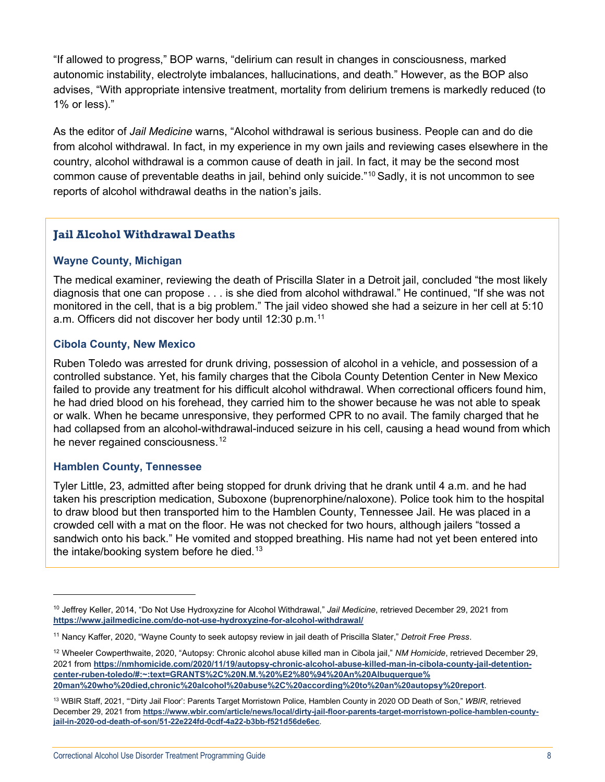"If allowed to progress," BOP warns, "delirium can result in changes in consciousness, marked autonomic instability, electrolyte imbalances, hallucinations, and death." However, as the BOP also advises, "With appropriate intensive treatment, mortality from delirium tremens is markedly reduced (to 1% or less)."

As the editor of *Jail Medicine* warns, "Alcohol withdrawal is serious business. People can and do die from alcohol withdrawal. In fact, in my experience in my own jails and reviewing cases elsewhere in the country, alcohol withdrawal is a common cause of death in jail. In fact, it may be the second most common cause of preventable deaths in jail, behind only suicide."[10](#page-7-0) Sadly, it is not uncommon to see reports of alcohol withdrawal deaths in the nation's jails.

## **Jail Alcohol Withdrawal Deaths**

#### **Wayne County, Michigan**

The medical examiner, reviewing the death of Priscilla Slater in a Detroit jail, concluded "the most likely diagnosis that one can propose . . . is she died from alcohol withdrawal." He continued, "If she was not monitored in the cell, that is a big problem." The jail video showed she had a seizure in her cell at 5:10 a.m. Officers did not discover her body until 12:30 p.m.<sup>[11](#page-7-1)</sup>

#### **Cibola County, New Mexico**

Ruben Toledo was arrested for drunk driving, possession of alcohol in a vehicle, and possession of a controlled substance. Yet, his family charges that the Cibola County Detention Center in New Mexico failed to provide any treatment for his difficult alcohol withdrawal. When correctional officers found him, he had dried blood on his forehead, they carried him to the shower because he was not able to speak or walk. When he became unresponsive, they performed CPR to no avail. The family charged that he had collapsed from an alcohol-withdrawal-induced seizure in his cell, causing a head wound from which he never regained consciousness.<sup>[12](#page-7-2)</sup>

#### **Hamblen County, Tennessee**

Tyler Little, 23, admitted after being stopped for drunk driving that he drank until 4 a.m. and he had taken his prescription medication, Suboxone (buprenorphine/naloxone). Police took him to the hospital to draw blood but then transported him to the Hamblen County, Tennessee Jail. He was placed in a crowded cell with a mat on the floor. He was not checked for two hours, although jailers "tossed a sandwich onto his back." He vomited and stopped breathing. His name had not yet been entered into the intake/booking system before he died.<sup>[13](#page-7-3)</sup>

<span id="page-7-0"></span><sup>10</sup> Jeffrey Keller, 2014, "Do Not Use Hydroxyzine for Alcohol Withdrawal," *Jail Medicine*, retrieved December 29, 2021 from **<https://www.jailmedicine.com/do-not-use-hydroxyzine-for-alcohol-withdrawal/>**

<span id="page-7-1"></span><sup>11</sup> Nancy Kaffer, 2020, "Wayne County to seek autopsy review in jail death of Priscilla Slater," *Detroit Free Press*.

<span id="page-7-2"></span><sup>12</sup> Wheeler Cowperthwaite, 2020, "Autopsy: Chronic alcohol abuse killed man in Cibola jail," *NM Homicide*, retrieved December 29, 2021 from **[https://nmhomicide.com/2020/11/19/autopsy-chronic-alcohol-abuse-killed-man-in-cibola-county-jail-detention](https://nmhomicide.com/2020/11/19/autopsy-chronic-alcohol-abuse-killed-man-in-cibola-county-jail-detention-center-ruben-toledo/#:%7E:text=GRANTS%2C%20N.M.%20%E2%80%94%20An%20Albuquerque%20man%20who%20died,chronic%20alcohol%20abuse%2C%20according%20to%20an%20autopsy%20report)[center-ruben-toledo/#:~:text=GRANTS%2C%20N.M.%20%E2%80%94%20An%20Albuquerque%](https://nmhomicide.com/2020/11/19/autopsy-chronic-alcohol-abuse-killed-man-in-cibola-county-jail-detention-center-ruben-toledo/#:%7E:text=GRANTS%2C%20N.M.%20%E2%80%94%20An%20Albuquerque%20man%20who%20died,chronic%20alcohol%20abuse%2C%20according%20to%20an%20autopsy%20report) [20man%20who%20died,chronic%20alcohol%20abuse%2C%20according%20to%20an%20autopsy%20report](https://nmhomicide.com/2020/11/19/autopsy-chronic-alcohol-abuse-killed-man-in-cibola-county-jail-detention-center-ruben-toledo/#:%7E:text=GRANTS%2C%20N.M.%20%E2%80%94%20An%20Albuquerque%20man%20who%20died,chronic%20alcohol%20abuse%2C%20according%20to%20an%20autopsy%20report)**.

<span id="page-7-3"></span><sup>13</sup> WBIR Staff, 2021, "'Dirty Jail Floor': Parents Target Morristown Police, Hamblen County in 2020 OD Death of Son," *WBIR*, retrieved December 29, 2021 from **[https://www.wbir.com/article/news/local/dirty-jail-floor-parents-target-morristown-police-hamblen-county](https://www.wbir.com/article/news/local/dirty-jail-floor-parents-target-morristown-police-hamblen-county-jail-in-2020-od-death-of-son/51-22e224fd-0cdf-4a22-b3bb-f521d56de6ec)[jail-in-2020-od-death-of-son/51-22e224fd-0cdf-4a22-b3bb-f521d56de6ec](https://www.wbir.com/article/news/local/dirty-jail-floor-parents-target-morristown-police-hamblen-county-jail-in-2020-od-death-of-son/51-22e224fd-0cdf-4a22-b3bb-f521d56de6ec)**.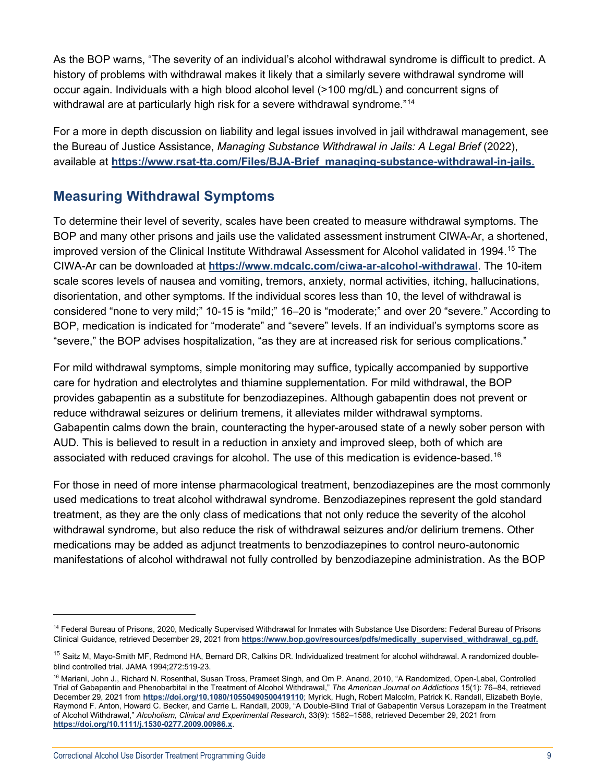As the BOP warns, "The severity of an individual's alcohol withdrawal syndrome is difficult to predict. A history of problems with withdrawal makes it likely that a similarly severe withdrawal syndrome will occur again. Individuals with a high blood alcohol level (>100 mg/dL) and concurrent signs of withdrawal are at particularly high risk for a severe withdrawal syndrome."<sup>[14](#page-8-1)</sup>

For a more in depth discussion on liability and legal issues involved in jail withdrawal management, see the Bureau of Justice Assistance, *Managing Substance Withdrawal in Jails: A Legal Brief* (2022), available at **[https://www.rsat-tta.com/Files/BJA-Brief\\_managing-substance-withdrawal-in-jails.](https://www.rsat-tta.com/Files/BJA-Brief_managing-substance-withdrawal-in-jails)**

## <span id="page-8-0"></span>**Measuring Withdrawal Symptoms**

To determine their level of severity, scales have been created to measure withdrawal symptoms. The BOP and many other prisons and jails use the validated assessment instrument CIWA-Ar, a shortened, improved version of the Clinical Institute Withdrawal Assessment for Alcohol validated in 1994.<sup>[15](#page-8-2)</sup> The CIWA-Ar can be downloaded at **<https://www.mdcalc.com/ciwa-ar-alcohol-withdrawal>**. The 10-item scale scores levels of nausea and vomiting, tremors, anxiety, normal activities, itching, hallucinations, disorientation, and other symptoms. If the individual scores less than 10, the level of withdrawal is considered "none to very mild;" 10-15 is "mild;" 16–20 is "moderate;" and over 20 "severe." According to BOP, medication is indicated for "moderate" and "severe" levels. If an individual's symptoms score as "severe," the BOP advises hospitalization, "as they are at increased risk for serious complications."

For mild withdrawal symptoms, simple monitoring may suffice, typically accompanied by supportive care for hydration and electrolytes and thiamine supplementation. For mild withdrawal, the BOP provides gabapentin as a substitute for benzodiazepines. Although gabapentin does not prevent or reduce withdrawal seizures or delirium tremens, it alleviates milder withdrawal symptoms. Gabapentin calms down the brain, counteracting the hyper-aroused state of a newly sober person with AUD. This is believed to result in a reduction in anxiety and improved sleep, both of which are associated with reduced cravings for alcohol. The use of this medication is evidence-based.<sup>[16](#page-8-3)</sup>

For those in need of more intense pharmacological treatment, benzodiazepines are the most commonly used medications to treat alcohol withdrawal syndrome. Benzodiazepines represent the gold standard treatment, as they are the only class of medications that not only reduce the severity of the alcohol withdrawal syndrome, but also reduce the risk of withdrawal seizures and/or delirium tremens. Other medications may be added as adjunct treatments to benzodiazepines to control neuro-autonomic manifestations of alcohol withdrawal not fully controlled by benzodiazepine administration. As the BOP

<span id="page-8-1"></span><sup>&</sup>lt;sup>14</sup> Federal Bureau of Prisons, 2020, Medically Supervised Withdrawal for Inmates with Substance Use Disorders: Federal Bureau of Prisons Clinical Guidance, retrieved December 29, 2021 from **[https://www.bop.gov/resources/pdfs/medically\\_supervised\\_withdrawal\\_cg.pdf.](https://www.bop.gov/resources/pdfs/medically_supervised_withdrawal_cg.pdf)**

<span id="page-8-2"></span><sup>&</sup>lt;sup>15</sup> Saitz M, Mayo-Smith MF, Redmond HA, Bernard DR, Calkins DR. Individualized treatment for alcohol withdrawal. A randomized doubleblind controlled trial. JAMA 1994;272:519-23.

<span id="page-8-3"></span><sup>&</sup>lt;sup>16</sup> Mariani, John J., Richard N. Rosenthal, Susan Tross, Prameet Singh, and Om P. Anand, 2010, "A Randomized, Open-Label, Controlled Trial of Gabapentin and Phenobarbital in the Treatment of Alcohol Withdrawal," *The American Journal on Addictions* 15(1): 76–84, retrieved December 29, 2021 from **<https://doi.org/10.1080/10550490500419110>**; Myrick, Hugh, Robert Malcolm, Patrick K. Randall, Elizabeth Boyle, Raymond F. Anton, Howard C. Becker, and Carrie L. Randall, 2009, "A Double-Blind Trial of Gabapentin Versus Lorazepam in the Treatment of Alcohol Withdrawal," *Alcoholism, Clinical and Experimental Research*, 33(9): 1582–1588, retrieved December 29, 2021 from **<https://doi.org/10.1111/j.1530-0277.2009.00986.x>**.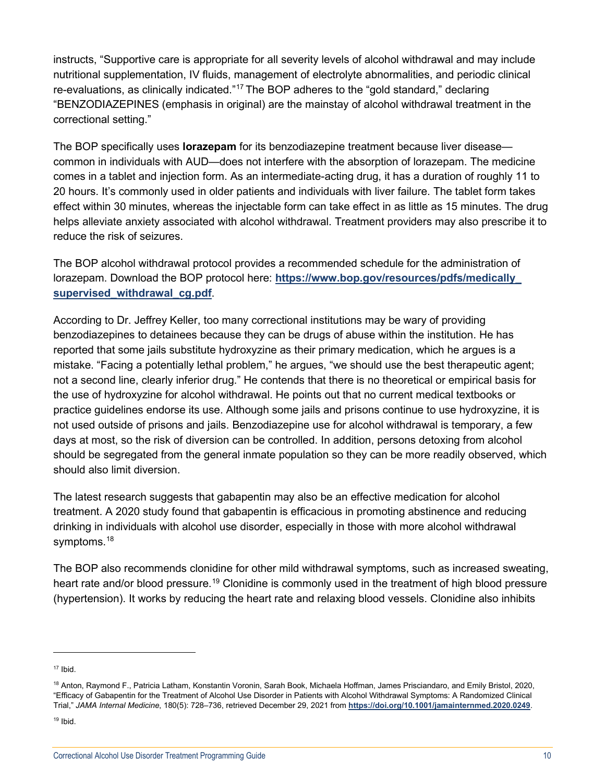instructs, "Supportive care is appropriate for all severity levels of alcohol withdrawal and may include nutritional supplementation, IV fluids, management of electrolyte abnormalities, and periodic clinical re-evaluations, as clinically indicated."<sup>[17](#page-9-0)</sup> The BOP adheres to the "gold standard," declaring "BENZODIAZEPINES (emphasis in original) are the mainstay of alcohol withdrawal treatment in the correctional setting."

The BOP specifically uses **lorazepam** for its benzodiazepine treatment because liver disease common in individuals with AUD—does not interfere with the absorption of lorazepam. The medicine comes in a tablet and injection form. As an intermediate-acting drug, it has a duration of roughly 11 to 20 hours. It's commonly used in older patients and individuals with liver failure. The tablet form takes effect within 30 minutes, whereas the injectable form can take effect in as little as 15 minutes. The drug helps alleviate anxiety associated with alcohol withdrawal. Treatment providers may also prescribe it to reduce the risk of seizures.

The BOP alcohol withdrawal protocol provides a recommended schedule for the administration of lorazepam. Download the BOP protocol here: **[https://www.bop.gov/resources/pdfs/medically\\_](https://www.bop.gov/resources/pdfs/medically_supervised_withdrawal_cg.pdf) [supervised\\_withdrawal\\_cg.pdf](https://www.bop.gov/resources/pdfs/medically_supervised_withdrawal_cg.pdf)**.

According to Dr. Jeffrey Keller, too many correctional institutions may be wary of providing benzodiazepines to detainees because they can be drugs of abuse within the institution. He has reported that some jails substitute hydroxyzine as their primary medication, which he argues is a mistake. "Facing a potentially lethal problem," he argues, "we should use the best therapeutic agent; not a second line, clearly inferior drug." He contends that there is no theoretical or empirical basis for the use of hydroxyzine for alcohol withdrawal. He points out that no current medical textbooks or practice guidelines endorse its use. Although some jails and prisons continue to use hydroxyzine, it is not used outside of prisons and jails. Benzodiazepine use for alcohol withdrawal is temporary, a few days at most, so the risk of diversion can be controlled. In addition, persons detoxing from alcohol should be segregated from the general inmate population so they can be more readily observed, which should also limit diversion.

The latest research suggests that gabapentin may also be an effective medication for alcohol treatment. A 2020 study found that gabapentin is efficacious in promoting abstinence and reducing drinking in individuals with alcohol use disorder, especially in those with more alcohol withdrawal symptoms.<sup>[18](#page-9-1)</sup>

The BOP also recommends clonidine for other mild withdrawal symptoms, such as increased sweating, heart rate and/or blood pressure.<sup>[19](#page-9-2)</sup> Clonidine is commonly used in the treatment of high blood pressure (hypertension). It works by reducing the heart rate and relaxing blood vessels. Clonidine also inhibits

<span id="page-9-0"></span> $17$  Ibid.

<span id="page-9-1"></span><sup>&</sup>lt;sup>18</sup> Anton, Raymond F., Patricia Latham, Konstantin Voronin, Sarah Book, Michaela Hoffman, James Prisciandaro, and Emily Bristol, 2020, "Efficacy of Gabapentin for the Treatment of Alcohol Use Disorder in Patients with Alcohol Withdrawal Symptoms: A Randomized Clinical Trial," *JAMA Internal Medicine*, 180(5): 728–736, retrieved December 29, 2021 from **<https://doi.org/10.1001/jamainternmed.2020.0249>**.

<span id="page-9-2"></span> $19$  Ibid.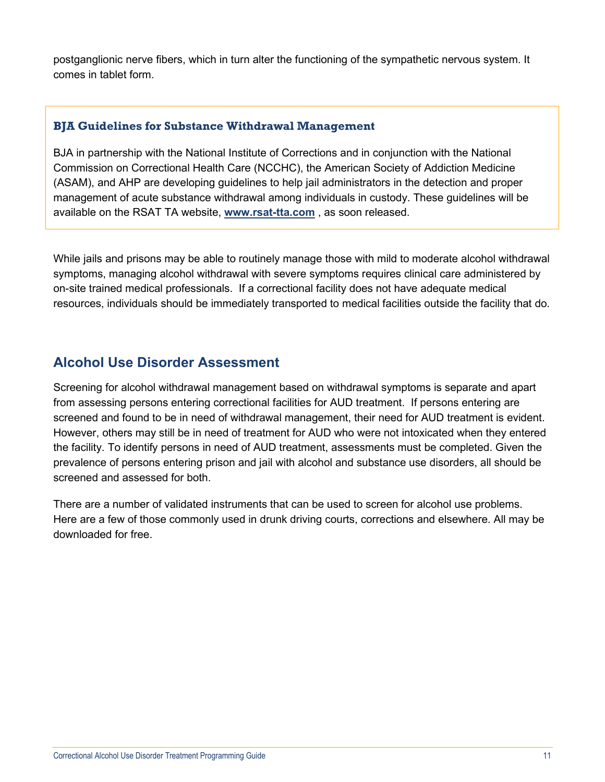postganglionic nerve fibers, which in turn alter the functioning of the sympathetic nervous system. It comes in tablet form.

## **BJA Guidelines for Substance Withdrawal Management**

BJA in partnership with the National Institute of Corrections and in conjunction with the National Commission on Correctional Health Care (NCCHC), the American Society of Addiction Medicine (ASAM), and AHP are developing guidelines to help jail administrators in the detection and proper management of acute substance withdrawal among individuals in custody. These guidelines will be available on the RSAT TA website, **[www.rsat-tta.com](http://www.rsat-tta.com/)** , as soon released.

While jails and prisons may be able to routinely manage those with mild to moderate alcohol withdrawal symptoms, managing alcohol withdrawal with severe symptoms requires clinical care administered by on-site trained medical professionals. If a correctional facility does not have adequate medical resources, individuals should be immediately transported to medical facilities outside the facility that do.

## <span id="page-10-0"></span>**Alcohol Use Disorder Assessment**

Screening for alcohol withdrawal management based on withdrawal symptoms is separate and apart from assessing persons entering correctional facilities for AUD treatment. If persons entering are screened and found to be in need of withdrawal management, their need for AUD treatment is evident. However, others may still be in need of treatment for AUD who were not intoxicated when they entered the facility. To identify persons in need of AUD treatment, assessments must be completed. Given the prevalence of persons entering prison and jail with alcohol and substance use disorders, all should be screened and assessed for both.

There are a number of validated instruments that can be used to screen for alcohol use problems. Here are a few of those commonly used in drunk driving courts, corrections and elsewhere. All may be downloaded for free.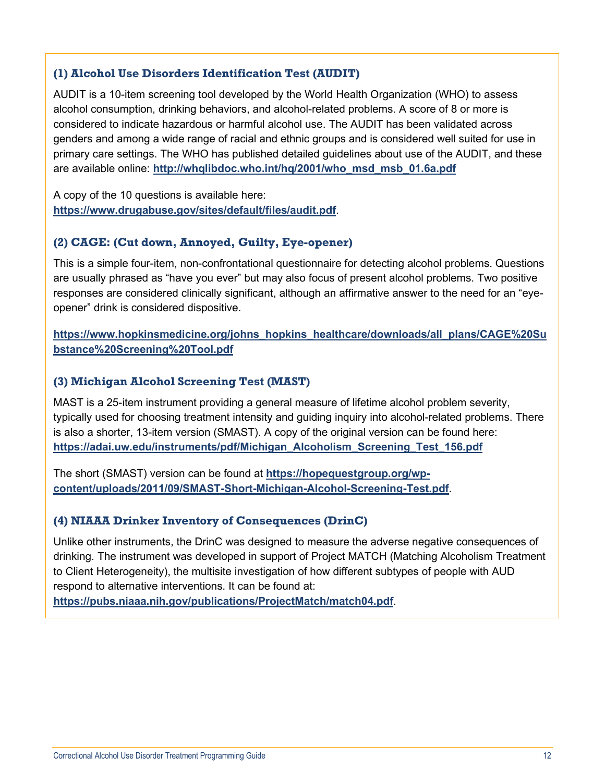## **(1) Alcohol Use Disorders Identification Test (AUDIT)**

AUDIT is a 10-item screening tool developed by the World Health Organization (WHO) to assess alcohol consumption, drinking behaviors, and alcohol-related problems. A score of 8 or more is considered to indicate hazardous or harmful alcohol use. The AUDIT has been validated across genders and among a wide range of racial and ethnic groups and is considered well suited for use in primary care settings. The WHO has published detailed guidelines about use of the AUDIT, and these are available online: **[http://whqlibdoc.who.int/hq/2001/who\\_msd\\_msb\\_01.6a.pdf](http://whqlibdoc.who.int/hq/2001/who_msd_msb_01.6a.pdf)**

A copy of the 10 questions is available here: **<https://www.drugabuse.gov/sites/default/files/audit.pdf>**.

## **(2) CAGE: (Cut down, Annoyed, Guilty, Eye-opener)**

This is a simple four-item, non-confrontational questionnaire for detecting alcohol problems. Questions are usually phrased as "have you ever" but may also focus of present alcohol problems. Two positive responses are considered clinically significant, although an affirmative answer to the need for an "eyeopener" drink is considered dispositive.

**[https://www.hopkinsmedicine.org/johns\\_hopkins\\_healthcare/downloads/all\\_plans/CAGE%20Su](https://www.hopkinsmedicine.org/johns_hopkins_healthcare/downloads/all_plans/CAGE%20Substance%20Screening%20Tool.pdf) [bstance%20Screening%20Tool.pdf](https://www.hopkinsmedicine.org/johns_hopkins_healthcare/downloads/all_plans/CAGE%20Substance%20Screening%20Tool.pdf)**

## **(3) Michigan Alcohol Screening Test (MAST)**

MAST is a 25-item instrument providing a general measure of lifetime alcohol problem severity, typically used for choosing treatment intensity and guiding inquiry into alcohol-related problems. There is also a shorter, 13-item version (SMAST). A copy of the original version can be found here: **[https://adai.uw.edu/instruments/pdf/Michigan\\_Alcoholism\\_Screening\\_Test\\_156.pdf](https://adai.uw.edu/instruments/pdf/Michigan_Alcoholism_Screening_Test_156.pdf)**

The short (SMAST) version can be found at **[https://hopequestgroup.org/wp](https://hopequestgroup.org/wp-content/uploads/2011/09/SMAST-Short-Michigan-Alcohol-Screening-Test.pdf)[content/uploads/2011/09/SMAST-Short-Michigan-Alcohol-Screening-Test.pdf](https://hopequestgroup.org/wp-content/uploads/2011/09/SMAST-Short-Michigan-Alcohol-Screening-Test.pdf)**.

## **(4) NIAAA Drinker Inventory of Consequences (DrinC)**

Unlike other instruments, the DrinC was designed to measure the adverse negative consequences of drinking. The instrument was developed in support of Project MATCH (Matching Alcoholism Treatment to Client Heterogeneity), the multisite investigation of how different subtypes of people with AUD respond to alternative interventions. It can be found at:

**<https://pubs.niaaa.nih.gov/publications/ProjectMatch/match04.pdf>**.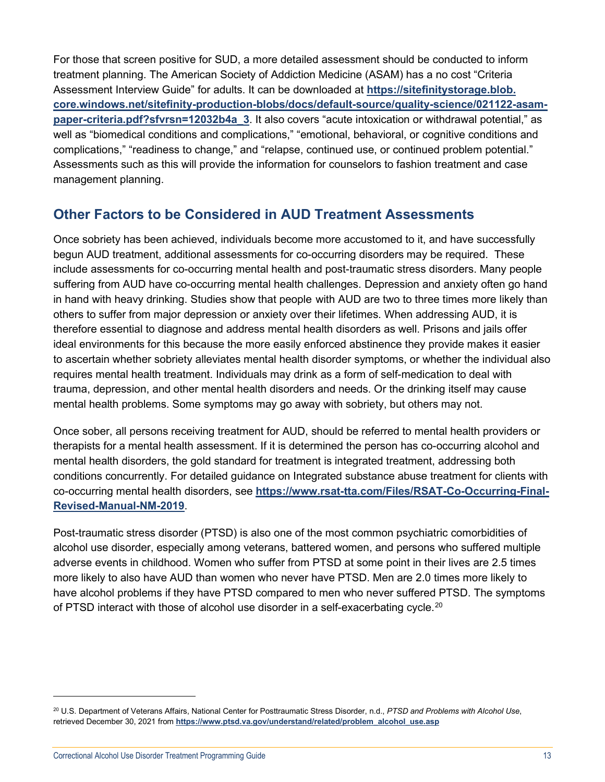For those that screen positive for SUD, a more detailed assessment should be conducted to inform treatment planning. The American Society of Addiction Medicine (ASAM) has a no cost "Criteria Assessment Interview Guide" for adults. It can be downloaded at **[https://sitefinitystorage.blob.](https://sitefinitystorage.blob.core.windows.net/sitefinity-production-blobs/docs/default-source/quality-science/021122-asam-paper-criteria.pdf?sfvrsn=12032b4a_3) [core.windows.net/sitefinity-production-blobs/docs/default-source/quality-science/021122-asam](https://sitefinitystorage.blob.core.windows.net/sitefinity-production-blobs/docs/default-source/quality-science/021122-asam-paper-criteria.pdf?sfvrsn=12032b4a_3)[paper-criteria.pdf?sfvrsn=12032b4a\\_3](https://sitefinitystorage.blob.core.windows.net/sitefinity-production-blobs/docs/default-source/quality-science/021122-asam-paper-criteria.pdf?sfvrsn=12032b4a_3)**. It also covers "acute intoxication or withdrawal potential," as well as "biomedical conditions and complications," "emotional, behavioral, or cognitive conditions and complications," "readiness to change," and "relapse, continued use, or continued problem potential." Assessments such as this will provide the information for counselors to fashion treatment and case management planning.

## <span id="page-12-0"></span>**Other Factors to be Considered in AUD Treatment Assessments**

Once sobriety has been achieved, individuals become more accustomed to it, and have successfully begun AUD treatment, additional assessments for co-occurring disorders may be required. These include assessments for co-occurring mental health and post-traumatic stress disorders. Many people suffering from AUD have co-occurring mental health challenges. Depression and anxiety often go hand in hand with heavy drinking. Studies show that people with AUD are two to three times more likely than others to suffer from major depression or anxiety over their lifetimes. When addressing AUD, it is therefore essential to diagnose and address mental health disorders as well. Prisons and jails offer ideal environments for this because the more easily enforced abstinence they provide makes it easier to ascertain whether sobriety alleviates mental health disorder symptoms, or whether the individual also requires mental health treatment. Individuals may drink as a form of self-medication to deal with trauma, depression, and other mental health disorders and needs. Or the drinking itself may cause mental health problems. Some symptoms may go away with sobriety, but others may not.

Once sober, all persons receiving treatment for AUD, should be referred to mental health providers or therapists for a mental health assessment. If it is determined the person has co-occurring alcohol and mental health disorders, the gold standard for treatment is integrated treatment, addressing both conditions concurrently. For detailed guidance on Integrated substance abuse treatment for clients with co-occurring mental health disorders, see **https://www.rsat-tta.com/Files/RSAT-Co-Occurring-Final-Revised-Manual-NM-2019**.

Post-traumatic stress disorder (PTSD) is also one of the most common psychiatric comorbidities of alcohol use disorder, especially among veterans, battered women, and persons who suffered multiple adverse events in childhood. Women who suffer from PTSD at some point in their lives are 2.5 times more likely to also have AUD than women who never have PTSD. Men are 2.0 times more likely to have alcohol problems if they have PTSD compared to men who never suffered PTSD. The symptoms of PTSD interact with those of alcohol use disorder in a self-exacerbating cycle.<sup>[20](#page-12-1)</sup>

<span id="page-12-1"></span><sup>20</sup> U.S. Department of Veterans Affairs, National Center for Posttraumatic Stress Disorder, n.d., *PTSD and Problems with Alcohol Use*, retrieved December 30, 2021 from **[https://www.ptsd.va.gov/understand/related/problem\\_alcohol\\_use.asp](https://www.ptsd.va.gov/understand/related/problem_alcohol_use.asp)**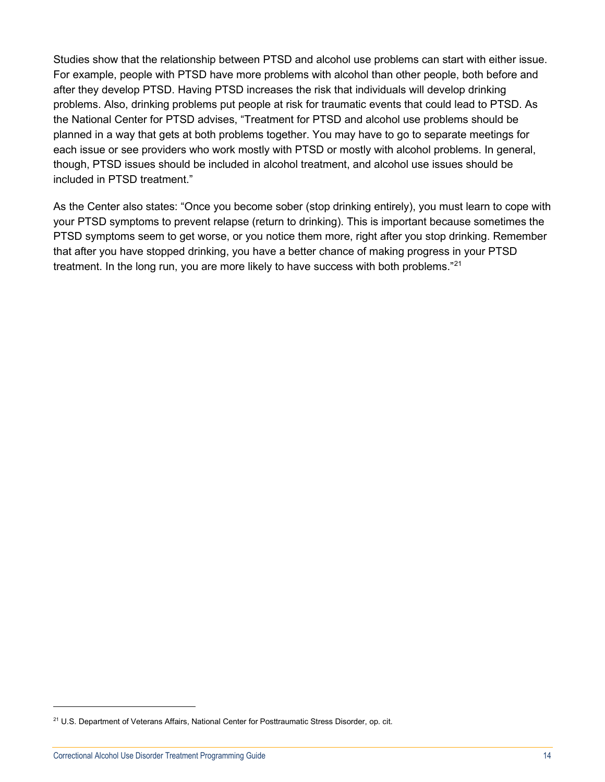Studies show that the relationship between PTSD and alcohol use problems can start with either issue. For example, people with PTSD have more problems with alcohol than other people, both before and after they develop PTSD. Having PTSD increases the risk that individuals will develop drinking problems. Also, drinking problems put people at risk for traumatic events that could lead to PTSD. As the National Center for PTSD advises, "Treatment for PTSD and alcohol use problems should be planned in a way that gets at both problems together. You may have to go to separate meetings for each issue or see providers who work mostly with PTSD or mostly with alcohol problems. In general, though, PTSD issues should be included in alcohol treatment, and alcohol use issues should be included in PTSD treatment."

As the Center also states: "Once you become sober (stop drinking entirely), you must learn to cope with your PTSD symptoms to prevent relapse (return to drinking). This is important because sometimes the PTSD symptoms seem to get worse, or you notice them more, right after you stop drinking. Remember that after you have stopped drinking, you have a better chance of making progress in your PTSD treatment. In the long run, you are more likely to have success with both problems."<sup>[21](#page-13-0)</sup>

<span id="page-13-0"></span><sup>&</sup>lt;sup>21</sup> U.S. Department of Veterans Affairs, National Center for Posttraumatic Stress Disorder, op. cit.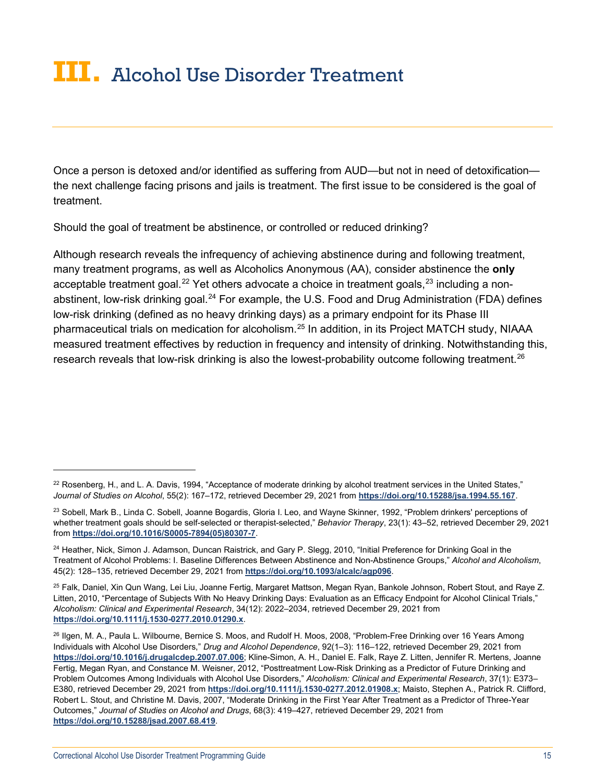## <span id="page-14-0"></span>**III.** Alcohol Use Disorder Treatment

Once a person is detoxed and/or identified as suffering from AUD—but not in need of detoxification the next challenge facing prisons and jails is treatment. The first issue to be considered is the goal of treatment.

Should the goal of treatment be abstinence, or controlled or reduced drinking?

Although research reveals the infrequency of achieving abstinence during and following treatment, many treatment programs, as well as Alcoholics Anonymous (AA), consider abstinence the **only** acceptable treatment goal.<sup>[22](#page-14-1)</sup> Yet others advocate a choice in treatment goals,  $23$  including a non-abstinent, low-risk drinking goal.<sup>[24](#page-14-3)</sup> For example, the U.S. Food and Drug Administration (FDA) defines low-risk drinking (defined as no heavy drinking days) as a primary endpoint for its Phase III pharmaceutical trials on medication for alcoholism.[25](#page-14-4) In addition, in its Project MATCH study, NIAAA measured treatment effectives by reduction in frequency and intensity of drinking. Notwithstanding this, research reveals that low-risk drinking is also the lowest-probability outcome following treatment.<sup>[26](#page-14-5)</sup>

<span id="page-14-1"></span> $22$  Rosenberg, H., and L. A. Davis, 1994, "Acceptance of moderate drinking by alcohol treatment services in the United States," *Journal of Studies on Alcohol*, 55(2): 167–172, retrieved December 29, 2021 from **<https://doi.org/10.15288/jsa.1994.55.167>**.

<span id="page-14-2"></span><sup>&</sup>lt;sup>23</sup> Sobell, Mark B., Linda C. Sobell, Joanne Bogardis, Gloria I. Leo, and Wayne Skinner, 1992, "Problem drinkers' perceptions of whether treatment goals should be self-selected or therapist-selected," *Behavior Therapy*, 23(1): 43–52, retrieved December 29, 2021 from **[https://doi.org/10.1016/S0005-7894\(05\)80307-7](https://doi.org/10.1016/S0005-7894(05)80307-7)**.

<span id="page-14-3"></span><sup>&</sup>lt;sup>24</sup> Heather, Nick, Simon J. Adamson, Duncan Raistrick, and Gary P. Slegg, 2010, "Initial Preference for Drinking Goal in the Treatment of Alcohol Problems: I. Baseline Differences Between Abstinence and Non-Abstinence Groups," *Alcohol and Alcoholism*, 45(2): 128–135, retrieved December 29, 2021 from **<https://doi.org/10.1093/alcalc/agp096>**.

<span id="page-14-4"></span><sup>&</sup>lt;sup>25</sup> Falk, Daniel, Xin Qun Wang, Lei Liu, Joanne Fertig, Margaret Mattson, Megan Ryan, Bankole Johnson, Robert Stout, and Raye Z. Litten, 2010, "Percentage of Subjects With No Heavy Drinking Days: Evaluation as an Efficacy Endpoint for Alcohol Clinical Trials," *Alcoholism: Clinical and Experimental Research*, 34(12): 2022–2034, retrieved December 29, 2021 from **<https://doi.org/10.1111/j.1530-0277.2010.01290.x>**.

<span id="page-14-5"></span><sup>&</sup>lt;sup>26</sup> Ilgen, M. A., Paula L. Wilbourne, Bernice S. Moos, and Rudolf H. Moos, 2008, "Problem-Free Drinking over 16 Years Among Individuals with Alcohol Use Disorders," *Drug and Alcohol Dependence*, 92(1–3): 116–122, retrieved December 29, 2021 from **<https://doi.org/10.1016/j.drugalcdep.2007.07.006>**; Kline-Simon, A. H., Daniel E. Falk, Raye Z. Litten, Jennifer R. Mertens, Joanne Fertig, Megan Ryan, and Constance M. Weisner, 2012, "Posttreatment Low-Risk Drinking as a Predictor of Future Drinking and Problem Outcomes Among Individuals with Alcohol Use Disorders," *Alcoholism: Clinical and Experimental Research*, 37(1): E373– E380, retrieved December 29, 2021 from **<https://doi.org/10.1111/j.1530-0277.2012.01908.x>**; Maisto, Stephen A., Patrick R. Clifford, Robert L. Stout, and Christine M. Davis, 2007, "Moderate Drinking in the First Year After Treatment as a Predictor of Three-Year Outcomes," *Journal of Studies on Alcohol and Drugs*, 68(3): 419–427, retrieved December 29, 2021 from **<https://doi.org/10.15288/jsad.2007.68.419>**.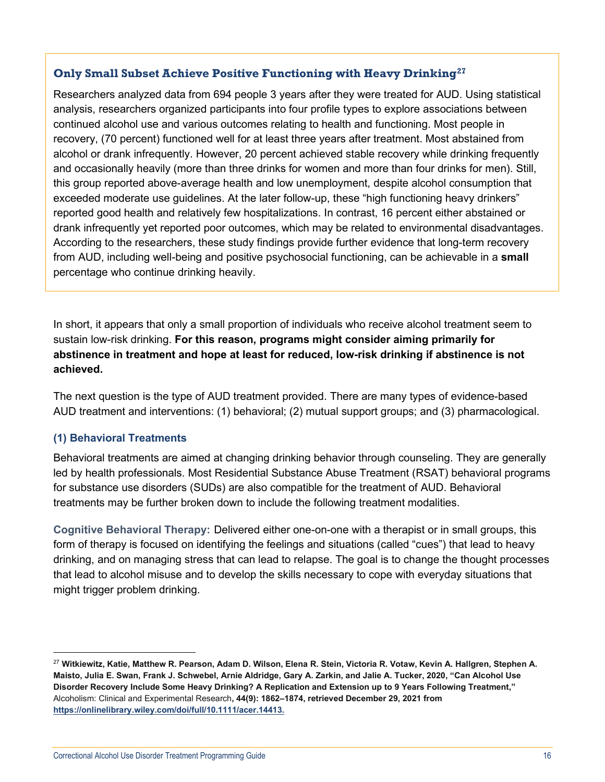## **Only Small Subset Achieve Positive Functioning with Heavy Drinking[27](#page-15-0)**

Researchers analyzed data from 694 people 3 years after they were treated for AUD. Using statistical analysis, researchers organized participants into four profile types to explore associations between continued alcohol use and various outcomes relating to health and functioning. Most people in recovery, (70 percent) functioned well for at least three years after treatment. Most abstained from alcohol or drank infrequently. However, 20 percent achieved stable recovery while drinking frequently and occasionally heavily (more than three drinks for women and more than four drinks for men). Still, this group reported above-average health and low unemployment, despite alcohol consumption that exceeded moderate use guidelines. At the later follow-up, these "high functioning heavy drinkers" reported good health and relatively few hospitalizations. In contrast, 16 percent either abstained or drank infrequently yet reported poor outcomes, which may be related to environmental disadvantages. According to the researchers, these study findings provide further evidence that long-term recovery from AUD, including well-being and positive psychosocial functioning, can be achievable in a **small** percentage who continue drinking heavily.

In short, it appears that only a small proportion of individuals who receive alcohol treatment seem to sustain low-risk drinking. **For this reason, programs might consider aiming primarily for abstinence in treatment and hope at least for reduced, low-risk drinking if abstinence is not achieved.**

The next question is the type of AUD treatment provided. There are many types of evidence-based AUD treatment and interventions: (1) behavioral; (2) mutual support groups; and (3) pharmacological.

## **(1) Behavioral Treatments**

Behavioral treatments are aimed at changing drinking behavior through counseling. They are generally led by health professionals. Most Residential Substance Abuse Treatment (RSAT) behavioral programs for substance use disorders (SUDs) are also compatible for the treatment of AUD. Behavioral treatments may be further broken down to include the following treatment modalities.

**Cognitive Behavioral Therapy:** Delivered either one-on-one with a therapist or in small groups, this form of therapy is focused on identifying the feelings and situations (called "cues") that lead to heavy drinking, and on managing stress that can lead to relapse. The goal is to change the thought processes that lead to alcohol misuse and to develop the skills necessary to cope with everyday situations that might trigger problem drinking.

<span id="page-15-0"></span><sup>27</sup> **Witkiewitz, Katie, Matthew R. Pearson, Adam D. Wilson, Elena R. Stein, Victoria R. Votaw, Kevin A. Hallgren, Stephen A. Maisto, Julia E. Swan, Frank J. Schwebel, Arnie Aldridge, Gary A. Zarkin, and Jalie A. Tucker, 2020, "Can Alcohol Use Disorder Recovery Include Some Heavy Drinking? A Replication and Extension up to 9 Years Following Treatment,"**  Alcoholism: Clinical and Experimental Research**, 44(9): 1862–1874, retrieved December 29, 2021 from [https://onlinelibrary.wiley.com/doi/full/10.1111/acer.14413.](https://onlinelibrary.wiley.com/doi/full/10.1111/acer.14413)**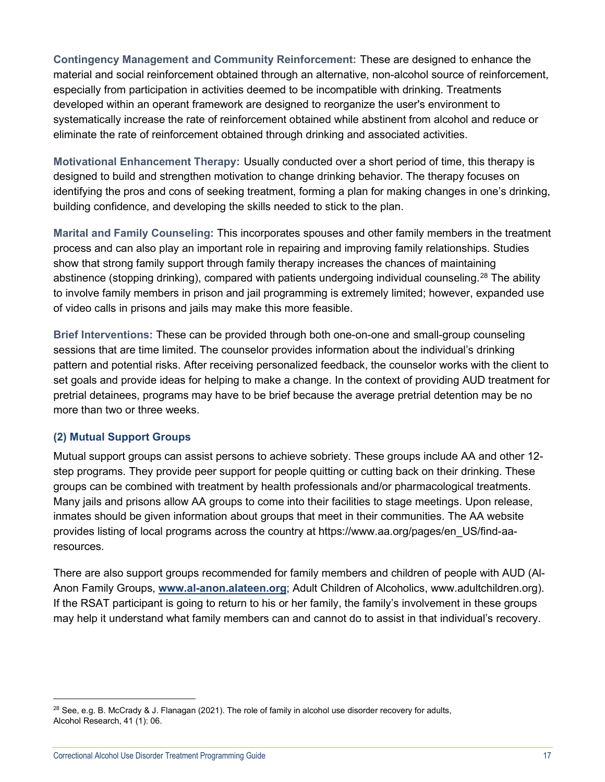**Contingency Management and Community Reinforcement:** These are designed to enhance the material and social reinforcement obtained through an alternative, non-alcohol source of reinforcement, especially from participation in activities deemed to be incompatible with drinking. Treatments developed within an operant framework are designed to reorganize the user's environment to systematically increase the rate of reinforcement obtained while abstinent from alcohol and reduce or eliminate the rate of reinforcement obtained through drinking and associated activities.

**Motivational Enhancement Therapy:** Usually conducted over a short period of time, this therapy is designed to build and strengthen motivation to change drinking behavior. The therapy focuses on identifying the pros and cons of seeking treatment, forming a plan for making changes in one's drinking, building confidence, and developing the skills needed to stick to the plan.

**Marital and Family Counseling:** This incorporates spouses and other family members in the treatment process and can also play an important role in repairing and improving family relationships. Studies show that strong family support through family therapy increases the chances of maintaining abstinence (stopping drinking), compared with patients undergoing individual counseling.<sup>[28](#page-16-0)</sup> The ability to involve family members in prison and jail programming is extremely limited; however, expanded use of video calls in prisons and jails may make this more feasible.

**Brief Interventions:** These can be provided through both one-on-one and small-group counseling sessions that are time limited. The counselor provides information about the individual's drinking pattern and potential risks. After receiving personalized feedback, the counselor works with the client to set goals and provide ideas for helping to make a change. In the context of providing AUD treatment for pretrial detainees, programs may have to be brief because the average pretrial detention may be no more than two or three weeks.

## **(2) Mutual Support Groups**

Mutual support groups can assist persons to achieve sobriety. These groups include AA and other 12 step programs. They provide peer support for people quitting or cutting back on their drinking. These groups can be combined with treatment by health professionals and/or pharmacological treatments. Many jails and prisons allow AA groups to come into their facilities to stage meetings. Upon release, inmates should be given information about groups that meet in their communities. The AA website provides listing of local programs across the country at [https://www.aa.org/pages/en\\_US/find-aa](https://www.aa.org/pages/en_US/find-aa-resources)[resources.](https://www.aa.org/pages/en_US/find-aa-resources)

There are also support groups recommended for family members and children of people with AUD (Al-Anon Family Groups, **[www.al-anon.alateen.org](http://www.al-anon.alateen.org%C2%A0)**; Adult Children of Alcoholics, [www.adultchildren.org\)](http://www.adultchildren.org/). If the RSAT participant is going to return to his or her family, the family's involvement in these groups may help it understand what family members can and cannot do to assist in that individual's recovery.

<span id="page-16-0"></span> $^{28}$  See, e.g. B. McCrady & J. Flanagan (2021). The role of family in alcohol use disorder recovery for adults, Alcohol Research, 41 (1): 06.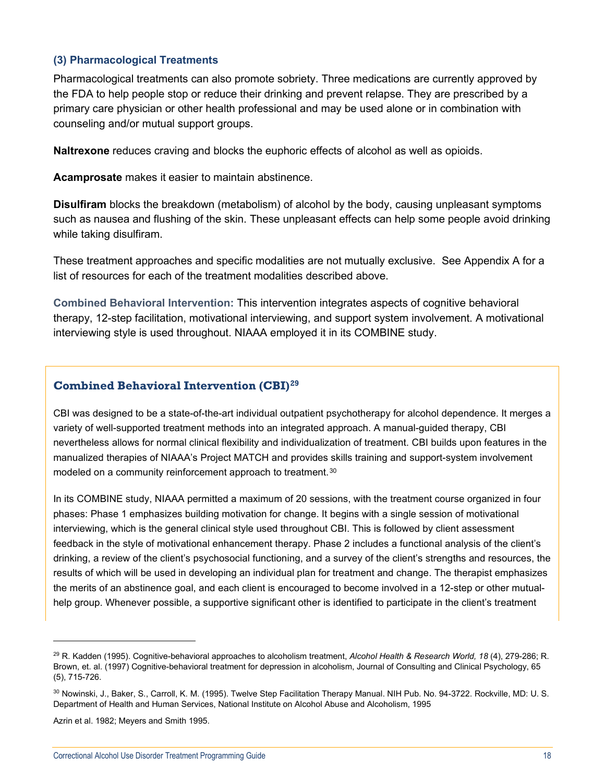#### **(3) Pharmacological Treatments**

Pharmacological treatments can also promote sobriety. Three medications are currently approved by the FDA to help people stop or reduce their drinking and prevent relapse. They are prescribed by a primary care physician or other health professional and may be used alone or in combination with counseling and/or mutual support groups.

**Naltrexone** reduces craving and blocks the euphoric effects of alcohol as well as opioids.

**Acamprosate** makes it easier to maintain abstinence.

**Disulfiram** blocks the breakdown (metabolism) of alcohol by the body, causing unpleasant symptoms such as nausea and flushing of the skin. These unpleasant effects can help some people avoid drinking while taking disulfiram.

These treatment approaches and specific modalities are not mutually exclusive. See Appendix A for a list of resources for each of the treatment modalities described above.

**Combined Behavioral Intervention:** This intervention integrates aspects of cognitive behavioral therapy, 12-step facilitation, motivational interviewing, and support system involvement. A motivational interviewing style is used throughout. NIAAA employed it in its COMBINE study.

#### **Combined Behavioral Intervention (CBI)[29](#page-17-0)**

CBI was designed to be a state-of-the-art individual outpatient psychotherapy for alcohol dependence. It merges a variety of well-supported treatment methods into an integrated approach. A manual-guided therapy, CBI nevertheless allows for normal clinical flexibility and individualization of treatment. CBI builds upon features in the manualized therapies of NIAAA's Project MATCH and provides skills training and support-system involvement modeled on a community reinforcement approach to treatment.<sup>[30](#page-17-1)</sup>

In its COMBINE study, NIAAA permitted a maximum of 20 sessions, with the treatment course organized in four phases: Phase 1 emphasizes building motivation for change. It begins with a single session of motivational interviewing, which is the general clinical style used throughout CBI. This is followed by client assessment feedback in the style of motivational enhancement therapy. Phase 2 includes a functional analysis of the client's drinking, a review of the client's psychosocial functioning, and a survey of the client's strengths and resources, the results of which will be used in developing an individual plan for treatment and change. The therapist emphasizes the merits of an abstinence goal, and each client is encouraged to become involved in a 12-step or other mutualhelp group. Whenever possible, a supportive significant other is identified to participate in the client's treatment

<span id="page-17-0"></span><sup>29</sup> R. Kadden (1995). Cognitive-behavioral approaches to alcoholism treatment, *Alcohol Health & Research World, 18* (4), 279-286; R. Brown, et. al. (1997) Cognitive-behavioral treatment for depression in alcoholism, Journal of Consulting and Clinical Psychology, 65 (5), 715-726.

<span id="page-17-1"></span><sup>30</sup> Nowinski, J., Baker, S., Carroll, K. M. (1995). Twelve Step Facilitation Therapy Manual. NIH Pub. No. 94-3722. Rockville, MD: U. S. Department of Health and Human Services, National Institute on Alcohol Abuse and Alcoholism, 1995

Azrin et al. 1982; Meyers and Smith 1995.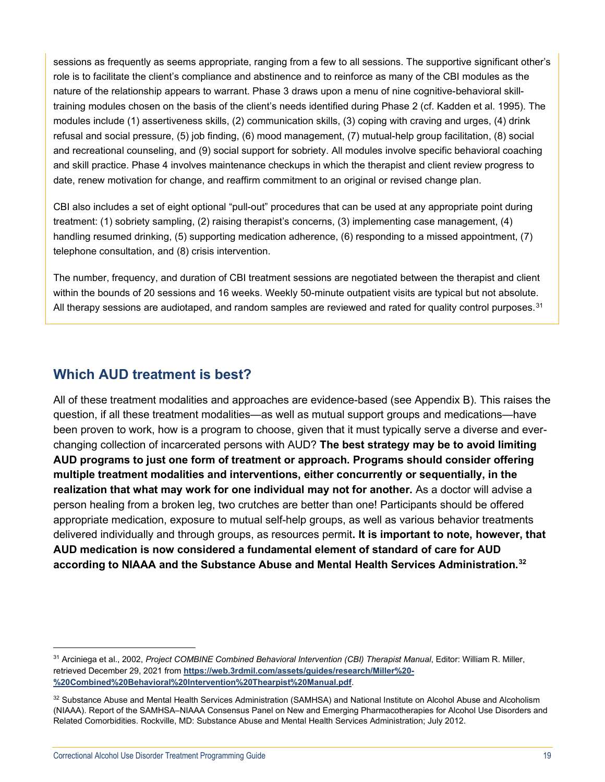sessions as frequently as seems appropriate, ranging from a few to all sessions. The supportive significant other's role is to facilitate the client's compliance and abstinence and to reinforce as many of the CBI modules as the nature of the relationship appears to warrant. Phase 3 draws upon a menu of nine cognitive-behavioral skilltraining modules chosen on the basis of the client's needs identified during Phase 2 (cf. Kadden et al. 1995). The modules include (1) assertiveness skills, (2) communication skills, (3) coping with craving and urges, (4) drink refusal and social pressure, (5) job finding, (6) mood management, (7) mutual-help group facilitation, (8) social and recreational counseling, and (9) social support for sobriety. All modules involve specific behavioral coaching and skill practice. Phase 4 involves maintenance checkups in which the therapist and client review progress to date, renew motivation for change, and reaffirm commitment to an original or revised change plan.

CBI also includes a set of eight optional "pull-out" procedures that can be used at any appropriate point during treatment: (1) sobriety sampling, (2) raising therapist's concerns, (3) implementing case management, (4) handling resumed drinking, (5) supporting medication adherence, (6) responding to a missed appointment, (7) telephone consultation, and (8) crisis intervention.

The number, frequency, and duration of CBI treatment sessions are negotiated between the therapist and client within the bounds of 20 sessions and 16 weeks. Weekly 50-minute outpatient visits are typical but not absolute. All therapy sessions are audiotaped, and random samples are reviewed and rated for quality control purposes.<sup>[31](#page-18-1)</sup>

## <span id="page-18-0"></span>**Which AUD treatment is best?**

All of these treatment modalities and approaches are evidence-based (see Appendix B). This raises the question, if all these treatment modalities—as well as mutual support groups and medications—have been proven to work, how is a program to choose, given that it must typically serve a diverse and everchanging collection of incarcerated persons with AUD? **The best strategy may be to avoid limiting AUD programs to just one form of treatment or approach. Programs should consider offering multiple treatment modalities and interventions, either concurrently or sequentially, in the realization that what may work for one individual may not for another.** As a doctor will advise a person healing from a broken leg, two crutches are better than one! Participants should be offered appropriate medication, exposure to mutual self-help groups, as well as various behavior treatments delivered individually and through groups, as resources permit**. It is important to note, however, that AUD medication is now considered a fundamental element of standard of care for AUD according to NIAAA and the Substance Abuse and Mental Health Services Administration. [32](#page-18-2)**

<span id="page-18-1"></span><sup>31</sup> Arciniega et al., 2002, *Project COMBINE Combined Behavioral Intervention (CBI) Therapist Manual*, Editor: William R. Miller, retrieved December 29, 2021 from **[https://web.3rdmil.com/assets/guides/research/Miller%20-](https://web.3rdmil.com/assets/guides/research/Miller%20-%20Combined%20Behavioral%20Intervention%20Thearpist%20Manual.pdf) [%20Combined%20Behavioral%20Intervention%20Thearpist%20Manual.pdf](https://web.3rdmil.com/assets/guides/research/Miller%20-%20Combined%20Behavioral%20Intervention%20Thearpist%20Manual.pdf)**.

<span id="page-18-2"></span><sup>32</sup> Substance Abuse and Mental Health Services Administration (SAMHSA) and National Institute on Alcohol Abuse and Alcoholism (NIAAA). Report of the SAMHSA–NIAAA Consensus Panel on New and Emerging Pharmacotherapies for Alcohol Use Disorders and Related Comorbidities. Rockville, MD: Substance Abuse and Mental Health Services Administration; July 2012.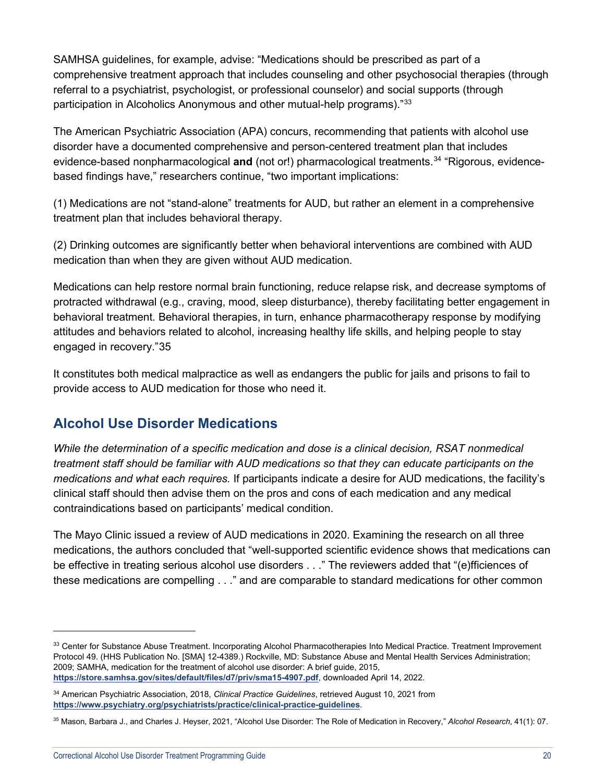SAMHSA guidelines, for example, advise: "Medications should be prescribed as part of a comprehensive treatment approach that includes counseling and other psychosocial therapies (through referral to a psychiatrist, psychologist, or professional counselor) and social supports (through participation in Alcoholics Anonymous and other mutual-help programs)."[33](#page-19-1)

The American Psychiatric Association (APA) concurs, recommending that patients with alcohol use disorder have a documented comprehensive and person-centered treatment plan that includes evidence-based nonpharmacological **and** (not or!) pharmacological treatments.[34](#page-19-2) "Rigorous, evidencebased findings have," researchers continue, "two important implications:

(1) Medications are not "stand-alone" treatments for AUD, but rather an element in a comprehensive treatment plan that includes behavioral therapy.

(2) Drinking outcomes are significantly better when behavioral interventions are combined with AUD medication than when they are given without AUD medication.

Medications can help restore normal brain functioning, reduce relapse risk, and decrease symptoms of protracted withdrawal (e.g., craving, mood, sleep disturbance), thereby facilitating better engagement in behavioral treatment. Behavioral therapies, in turn, enhance pharmacotherapy response by modifying attitudes and behaviors related to alcohol, increasing healthy life skills, and helping people to stay engaged in recovery."[35](#page-19-3)

It constitutes both medical malpractice as well as endangers the public for jails and prisons to fail to provide access to AUD medication for those who need it.

## <span id="page-19-0"></span>**Alcohol Use Disorder Medications**

*While the determination of a specific medication and dose is a clinical decision, RSAT nonmedical treatment staff should be familiar with AUD medications so that they can educate participants on the medications and what each requires.* If participants indicate a desire for AUD medications, the facility's clinical staff should then advise them on the pros and cons of each medication and any medical contraindications based on participants' medical condition.

The Mayo Clinic issued a review of AUD medications in 2020. Examining the research on all three medications, the authors concluded that "well-supported scientific evidence shows that medications can be effective in treating serious alcohol use disorders . . ." The reviewers added that "(e)fficiences of these medications are compelling . . ." and are comparable to standard medications for other common

<span id="page-19-1"></span><sup>33</sup> Center for Substance Abuse Treatment. Incorporating Alcohol Pharmacotherapies Into Medical Practice. Treatment Improvement Protocol 49. (HHS Publication No. [SMA] 12-4389.) Rockville, MD: Substance Abuse and Mental Health Services Administration; 2009; SAMHA, medication for the treatment of alcohol use disorder: A brief guide, 2015, **<https://store.samhsa.gov/sites/default/files/d7/priv/sma15-4907.pdf>**, downloaded April 14, 2022.

<span id="page-19-2"></span><sup>34</sup> American Psychiatric Association, 2018, *Clinical Practice Guidelines*, retrieved August 10, 2021 from **<https://www.psychiatry.org/psychiatrists/practice/clinical-practice-guidelines>**.

<span id="page-19-3"></span><sup>35</sup> Mason, Barbara J., and Charles J. Heyser, 2021, "Alcohol Use Disorder: The Role of Medication in Recovery," *Alcohol Research*, 41(1): 07.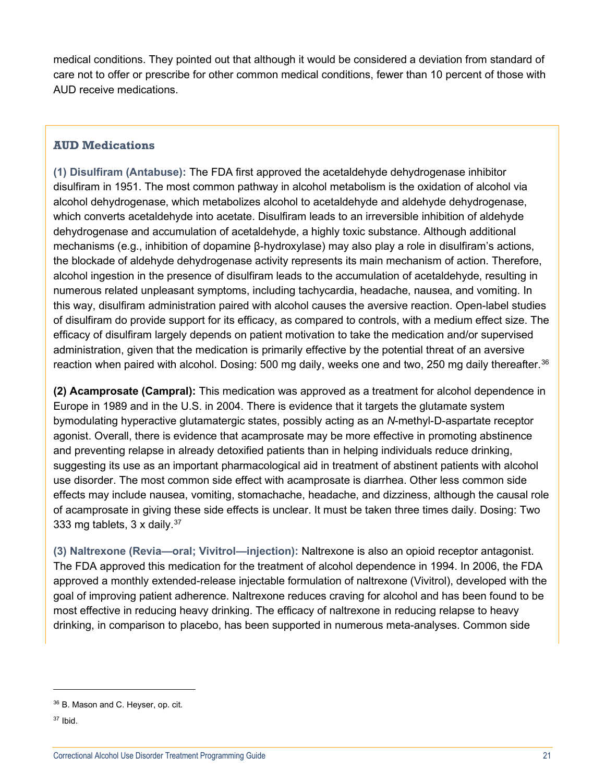medical conditions. They pointed out that although it would be considered a deviation from standard of care not to offer or prescribe for other common medical conditions, fewer than 10 percent of those with AUD receive medications.

#### **AUD Medications**

**(1) Disulfiram (Antabuse):** The FDA first approved the acetaldehyde dehydrogenase inhibitor disulfiram in 1951. The most common pathway in alcohol metabolism is the oxidation of alcohol via alcohol dehydrogenase, which metabolizes alcohol to acetaldehyde and aldehyde dehydrogenase, which converts acetaldehyde into acetate. Disulfiram leads to an irreversible inhibition of aldehyde dehydrogenase and accumulation of acetaldehyde, a highly toxic substance. Although additional mechanisms (e.g., inhibition of dopamine β-hydroxylase) may also play a role in disulfiram's actions, the blockade of aldehyde dehydrogenase activity represents its main mechanism of action. Therefore, alcohol ingestion in the presence of disulfiram leads to the accumulation of acetaldehyde, resulting in numerous related unpleasant symptoms, including tachycardia, headache, nausea, and vomiting. In this way, disulfiram administration paired with alcohol causes the aversive reaction. Open-label studies of disulfiram do provide support for its efficacy, as compared to controls, with a medium effect size. The efficacy of disulfiram largely depends on patient motivation to take the medication and/or supervised administration, given that the medication is primarily effective by the potential threat of an aversive reaction when paired with alcohol. Dosing: 500 mg daily, weeks one and two, 250 mg daily thereafter.<sup>[36](#page-20-0)</sup>

**(2) Acamprosate (Campral):** This medication was approved as a treatment for alcohol dependence in Europe in 1989 and in the U.S. in 2004. There is evidence that it targets the glutamate system bymodulating hyperactive glutamatergic states, possibly acting as an *N*-methyl-D-aspartate receptor agonist. Overall, there is evidence that acamprosate may be more effective in promoting abstinence and preventing relapse in already detoxified patients than in helping individuals reduce drinking, suggesting its use as an important pharmacological aid in treatment of abstinent patients with alcohol use disorder. The most common side effect with acamprosate is diarrhea. Other less common side effects may include nausea, vomiting, stomachache, headache, and dizziness, although the causal role of acamprosate in giving these side effects is unclear. It must be taken three times daily. Dosing: Two 333 mg tablets,  $3 \times$  daily.<sup>[37](#page-20-1)</sup>

**(3) Naltrexone (Revia—oral; Vivitrol—injection):** Naltrexone is also an opioid receptor antagonist. The FDA approved this medication for the treatment of alcohol dependence in 1994. In 2006, the FDA approved a monthly extended-release injectable formulation of naltrexone (Vivitrol), developed with the goal of improving patient adherence. Naltrexone reduces craving for alcohol and has been found to be most effective in reducing heavy drinking. The efficacy of naltrexone in reducing relapse to heavy drinking, in comparison to placebo, has been supported in numerous meta-analyses. Common side

<span id="page-20-0"></span> $36$  B. Mason and C. Heyser, op. cit.

<span id="page-20-1"></span> $37$  Ibid.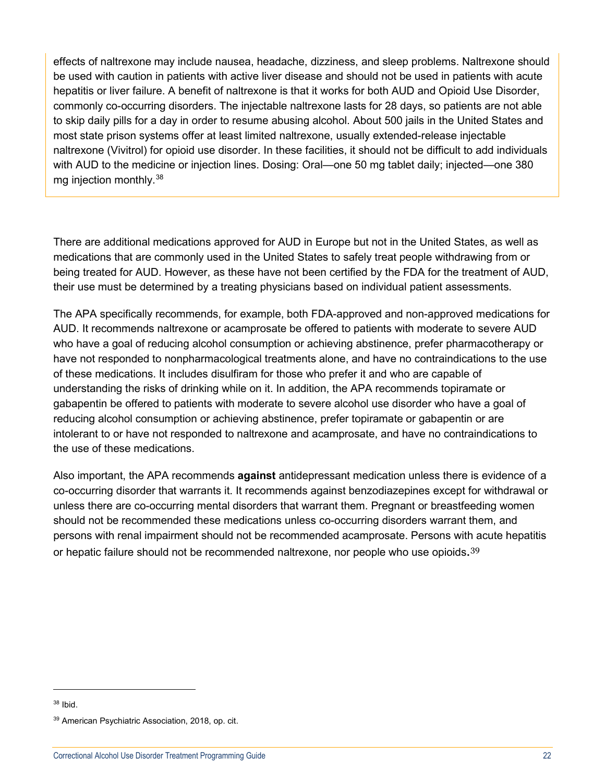effects of naltrexone may include nausea, headache, dizziness, and sleep problems. Naltrexone should be used with caution in patients with active liver disease and should not be used in patients with acute hepatitis or liver failure. A benefit of naltrexone is that it works for both AUD and Opioid Use Disorder, commonly co-occurring disorders. The injectable naltrexone lasts for 28 days, so patients are not able to skip daily pills for a day in order to resume abusing alcohol. About 500 jails in the United States and most state prison systems offer at least limited naltrexone, usually extended-release injectable naltrexone (Vivitrol) for opioid use disorder. In these facilities, it should not be difficult to add individuals with AUD to the medicine or injection lines. Dosing: Oral—one 50 mg tablet daily; injected—one 380 mg injection monthly.[38](#page-21-0)

There are additional medications approved for AUD in Europe but not in the United States, as well as medications that are commonly used in the United States to safely treat people withdrawing from or being treated for AUD. However, as these have not been certified by the FDA for the treatment of AUD, their use must be determined by a treating physicians based on individual patient assessments.

The APA specifically recommends, for example, both FDA-approved and non-approved medications for AUD. It recommends naltrexone or acamprosate be offered to patients with moderate to severe AUD who have a goal of reducing alcohol consumption or achieving abstinence, prefer pharmacotherapy or have not responded to nonpharmacological treatments alone, and have no contraindications to the use of these medications. It includes disulfiram for those who prefer it and who are capable of understanding the risks of drinking while on it. In addition, the APA recommends topiramate or gabapentin be offered to patients with moderate to severe alcohol use disorder who have a goal of reducing alcohol consumption or achieving abstinence, prefer topiramate or gabapentin or are intolerant to or have not responded to naltrexone and acamprosate, and have no contraindications to the use of these medications.

Also important, the APA recommends **against** antidepressant medication unless there is evidence of a co-occurring disorder that warrants it. It recommends against benzodiazepines except for withdrawal or unless there are co-occurring mental disorders that warrant them. Pregnant or breastfeeding women should not be recommended these medications unless co-occurring disorders warrant them, and persons with renal impairment should not be recommended acamprosate. Persons with acute hepatitis or hepatic failure should not be recommended naltrexone, nor people who use opioids.<sup>[39](#page-21-1)</sup>

<span id="page-21-0"></span> $38$  Ibid.

<span id="page-21-1"></span><sup>39</sup> American Psychiatric Association, 2018, op. cit.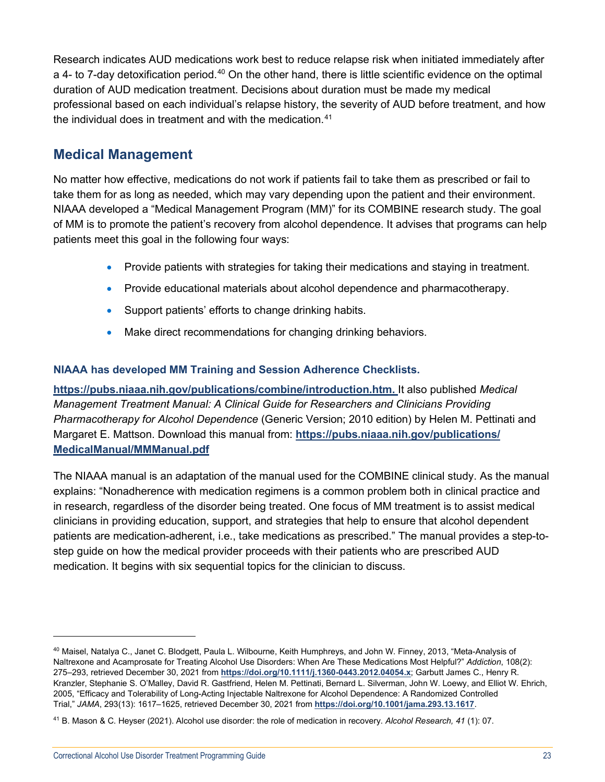Research indicates AUD medications work best to reduce relapse risk when initiated immediately after a 4- to 7-day detoxification period.<sup>[40](#page-22-1)</sup> On the other hand, there is little scientific evidence on the optimal duration of AUD medication treatment. Decisions about duration must be made my medical professional based on each individual's relapse history, the severity of AUD before treatment, and how the individual does in treatment and with the medication.<sup>[41](#page-22-2)</sup>

## <span id="page-22-0"></span>**Medical Management**

No matter how effective, medications do not work if patients fail to take them as prescribed or fail to take them for as long as needed, which may vary depending upon the patient and their environment. NIAAA developed a "Medical Management Program (MM)" for its COMBINE research study. The goal of MM is to promote the patient's recovery from alcohol dependence. It advises that programs can help patients meet this goal in the following four ways:

- Provide patients with strategies for taking their medications and staying in treatment.
- Provide educational materials about alcohol dependence and pharmacotherapy.
- Support patients' efforts to change drinking habits.
- Make direct recommendations for changing drinking behaviors.

## **NIAAA has developed MM Training and Session Adherence Checklists.**

**[https://pubs.niaaa.nih.gov/publications/combine/introduction.htm.](https://pubs.niaaa.nih.gov/publications/combine/introduction.htm)** It also published *Medical Management Treatment Manual: A Clinical Guide for Researchers and Clinicians Providing Pharmacotherapy for Alcohol Dependence* (Generic Version; 2010 edition) by Helen M. Pettinati and Margaret E. Mattson. Download this manual from: **[https://pubs.niaaa.nih.gov/publications/](https://pubs.niaaa.nih.gov/publications/MedicalManual/MMManual.pdf) [MedicalManual/MMManual.pdf](https://pubs.niaaa.nih.gov/publications/MedicalManual/MMManual.pdf)**

The NIAAA manual is an adaptation of the manual used for the COMBINE clinical study. As the manual explains: "Nonadherence with medication regimens is a common problem both in clinical practice and in research, regardless of the disorder being treated. One focus of MM treatment is to assist medical clinicians in providing education, support, and strategies that help to ensure that alcohol dependent patients are medication-adherent, i.e., take medications as prescribed." The manual provides a step-tostep guide on how the medical provider proceeds with their patients who are prescribed AUD medication. It begins with six sequential topics for the clinician to discuss.

<span id="page-22-1"></span><sup>40</sup> Maisel, Natalya C., Janet C. Blodgett, Paula L. Wilbourne, Keith Humphreys, and John W. Finney, 2013, "Meta-Analysis of Naltrexone and Acamprosate for Treating Alcohol Use Disorders: When Are These Medications Most Helpful?" *Addiction*, 108(2): 275–293, retrieved December 30, 2021 from **<https://doi.org/10.1111/j.1360-0443.2012.04054.x>**; Garbutt James C., Henry R. Kranzler, Stephanie S. O'Malley, David R. Gastfriend, Helen M. Pettinati, Bernard L. Silverman, John W. Loewy, and Elliot W. Ehrich, 2005, "Efficacy and Tolerability of Long-Acting Injectable Naltrexone for Alcohol Dependence: A Randomized Controlled Trial," *JAMA*, 293(13): 1617–1625, retrieved December 30, 2021 from **<https://doi.org/10.1001/jama.293.13.1617>**.

<span id="page-22-2"></span><sup>41</sup> B. Mason & C. Heyser (2021). Alcohol use disorder: the role of medication in recovery. *Alcohol Research, 41* (1): 07.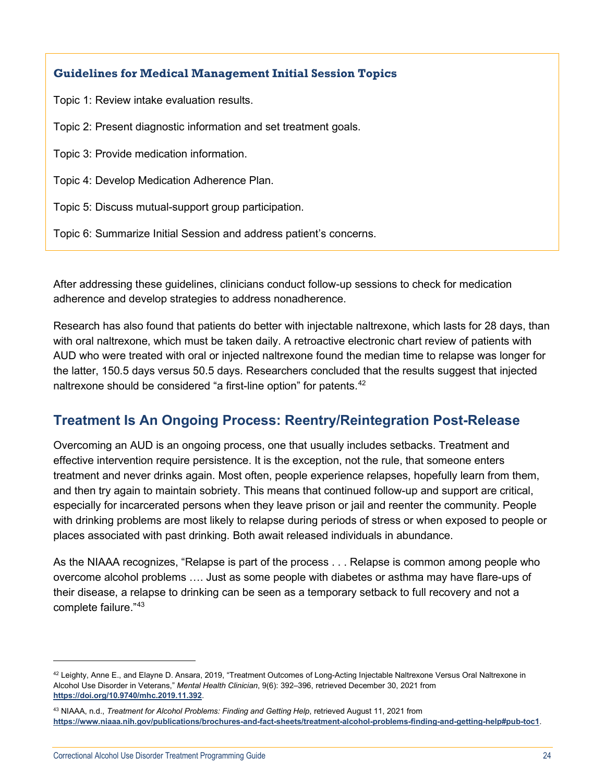## **Guidelines for Medical Management Initial Session Topics**

Topic 1: Review intake evaluation results.

Topic 2: Present diagnostic information and set treatment goals.

Topic 3: Provide medication information.

Topic 4: Develop Medication Adherence Plan.

Topic 5: Discuss mutual-support group participation.

Topic 6: Summarize Initial Session and address patient's concerns.

After addressing these guidelines, clinicians conduct follow-up sessions to check for medication adherence and develop strategies to address nonadherence.

Research has also found that patients do better with injectable naltrexone, which lasts for 28 days, than with oral naltrexone, which must be taken daily. A retroactive electronic chart review of patients with AUD who were treated with oral or injected naltrexone found the median time to relapse was longer for the latter, 150.5 days versus 50.5 days. Researchers concluded that the results suggest that injected naltrexone should be considered "a first-line option" for patents.<sup>[42](#page-23-1)</sup>

## <span id="page-23-0"></span>**Treatment Is An Ongoing Process: Reentry/Reintegration Post-Release**

Overcoming an AUD is an ongoing process, one that usually includes setbacks. Treatment and effective intervention require persistence. It is the exception, not the rule, that someone enters treatment and never drinks again. Most often, people experience relapses, hopefully learn from them, and then try again to maintain sobriety. This means that continued follow-up and support are critical, especially for incarcerated persons when they leave prison or jail and reenter the community. People with drinking problems are most likely to relapse during periods of stress or when exposed to people or places associated with past drinking. Both await released individuals in abundance.

As the NIAAA recognizes, "Relapse is part of the process . . . Relapse is common among people who overcome alcohol problems …. Just as some people with diabetes or asthma may have flare-ups of their disease, a relapse to drinking can be seen as a temporary setback to full recovery and not a complete failure."[43](#page-23-2)

<span id="page-23-1"></span> $42$  Leighty, Anne E., and Elayne D. Ansara, 2019, "Treatment Outcomes of Long-Acting Injectable Naltrexone Versus Oral Naltrexone in Alcohol Use Disorder in Veterans," *Mental Health Clinician*, 9(6): 392–396, retrieved December 30, 2021 from **<https://doi.org/10.9740/mhc.2019.11.392>**.

<span id="page-23-2"></span><sup>43</sup> NIAAA, n.d., *Treatment for Alcohol Problems: Finding and Getting Help*, retrieved August 11, 2021 from **<https://www.niaaa.nih.gov/publications/brochures-and-fact-sheets/treatment-alcohol-problems-finding-and-getting-help#pub-toc1>**.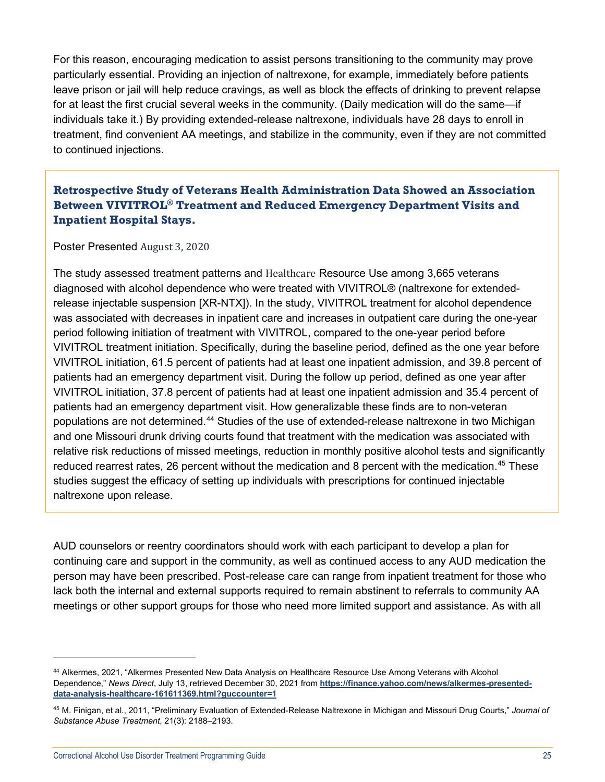For this reason, encouraging medication to assist persons transitioning to the community may prove particularly essential. Providing an injection of naltrexone, for example, immediately before patients leave prison or jail will help reduce cravings, as well as block the effects of drinking to prevent relapse for at least the first crucial several weeks in the community. (Daily medication will do the same—if individuals take it.) By providing extended-release naltrexone, individuals have 28 days to enroll in treatment, find convenient AA meetings, and stabilize in the community, even if they are not committed to continued injections.

## **Retrospective Study of Veterans Health Administration Data Showed an Association Between VIVITROL® Treatment and Reduced Emergency Department Visits and Inpatient Hospital Stays.**

Poster Presented August 3, 2020

The study assessed treatment patterns and Healthcare Resource Use among 3,665 veterans diagnosed with alcohol dependence who were treated with VIVITROL® (naltrexone for extendedrelease injectable suspension [XR-NTX]). In the study, VIVITROL treatment for alcohol dependence was associated with decreases in inpatient care and increases in outpatient care during the one-year period following initiation of treatment with VIVITROL, compared to the one-year period before VIVITROL treatment initiation. Specifically, during the baseline period, defined as the one year before VIVITROL initiation, 61.5 percent of patients had at least one inpatient admission, and 39.8 percent of patients had an emergency department visit. During the follow up period, defined as one year after VIVITROL initiation, 37.8 percent of patients had at least one inpatient admission and 35.4 percent of patients had an emergency department visit. How generalizable these finds are to non-veteran populations are not determined.[44](#page-24-0) Studies of the use of extended-release naltrexone in two Michigan and one Missouri drunk driving courts found that treatment with the medication was associated with relative risk reductions of missed meetings, reduction in monthly positive alcohol tests and significantly reduced rearrest rates, 26 percent without the medication and 8 percent with the medication.<sup>[45](#page-24-1)</sup> These studies suggest the efficacy of setting up individuals with prescriptions for continued injectable naltrexone upon release.

AUD counselors or reentry coordinators should work with each participant to develop a plan for continuing care and support in the community, as well as continued access to any AUD medication the person may have been prescribed. Post-release care can range from inpatient treatment for those who lack both the internal and external supports required to remain abstinent to referrals to community AA meetings or other support groups for those who need more limited support and assistance. As with all

<span id="page-24-0"></span><sup>44</sup> Alkermes, 2021, "Alkermes Presented New Data Analysis on Healthcare Resource Use Among Veterans with Alcohol Dependence," *News Direct*, July 13, retrieved December 30, 2021 from **[https://finance.yahoo.com/news/alkermes-presented](https://finance.yahoo.com/news/alkermes-presented-data-analysis-healthcare-161611369.html?guccounter=1)[data-analysis-healthcare-161611369.html?guccounter=1](https://finance.yahoo.com/news/alkermes-presented-data-analysis-healthcare-161611369.html?guccounter=1)**

<span id="page-24-1"></span><sup>45</sup> M. Finigan, et al., 2011, "Preliminary Evaluation of Extended-Release Naltrexone in Michigan and Missouri Drug Courts," *Journal of Substance Abuse Treatment*, 21(3): 2188–2193.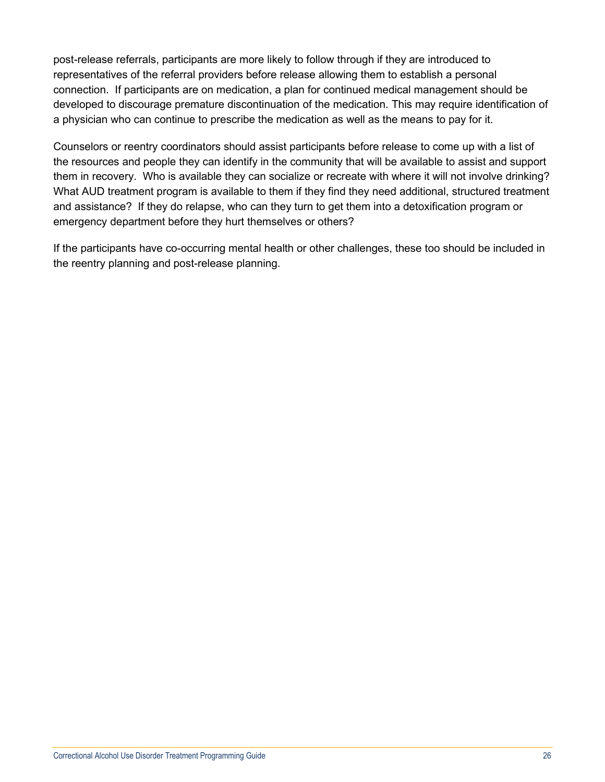post-release referrals, participants are more likely to follow through if they are introduced to representatives of the referral providers before release allowing them to establish a personal connection. If participants are on medication, a plan for continued medical management should be developed to discourage premature discontinuation of the medication. This may require identification of a physician who can continue to prescribe the medication as well as the means to pay for it.

Counselors or reentry coordinators should assist participants before release to come up with a list of the resources and people they can identify in the community that will be available to assist and support them in recovery. Who is available they can socialize or recreate with where it will not involve drinking? What AUD treatment program is available to them if they find they need additional, structured treatment and assistance? If they do relapse, who can they turn to get them into a detoxification program or emergency department before they hurt themselves or others?

If the participants have co-occurring mental health or other challenges, these too should be included in the reentry planning and post-release planning.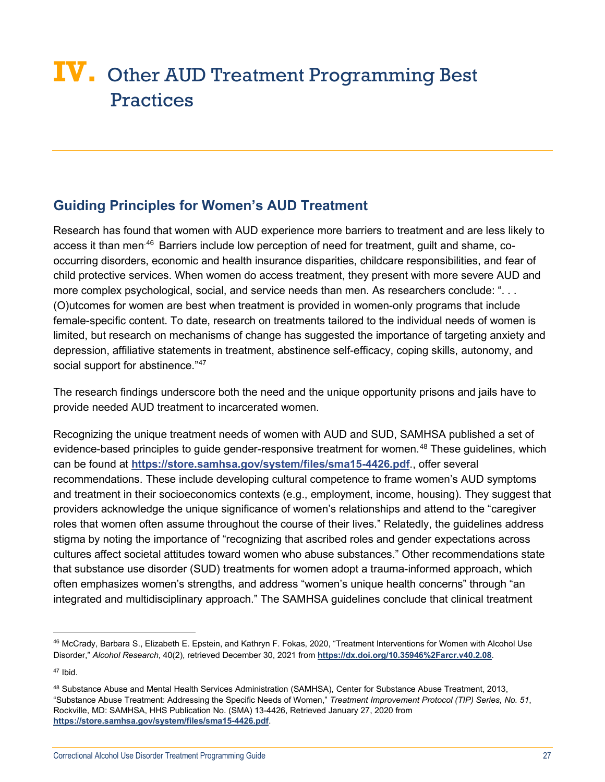## <span id="page-26-0"></span>**IV.** Other AUD Treatment Programming Best **Practices**

## <span id="page-26-1"></span>**Guiding Principles for Women's AUD Treatment**

Research has found that women with AUD experience more barriers to treatment and are less likely to access it than men<sup>[46](#page-26-2)</sup> Barriers include low perception of need for treatment, quilt and shame, cooccurring disorders, economic and health insurance disparities, childcare responsibilities, and fear of child protective services. When women do access treatment, they present with more severe AUD and more complex psychological, social, and service needs than men. As researchers conclude: "... (O)utcomes for women are best when treatment is provided in women-only programs that include female-specific content. To date, research on treatments tailored to the individual needs of women is limited, but research on mechanisms of change has suggested the importance of targeting anxiety and depression, affiliative statements in treatment, abstinence self-efficacy, coping skills, autonomy, and social support for abstinence."[47](#page-26-3)

The research findings underscore both the need and the unique opportunity prisons and jails have to provide needed AUD treatment to incarcerated women.

Recognizing the unique treatment needs of women with AUD and SUD, SAMHSA published a set of evidence-based principles to guide gender-responsive treatment for women.<sup>[48](#page-26-4)</sup> These guidelines, which can be found at **<https://store.samhsa.gov/system/files/sma15-4426.pdf>**., offer several recommendations. These include developing cultural competence to frame women's AUD symptoms and treatment in their socioeconomics contexts (e.g., employment, income, housing). They suggest that providers acknowledge the unique significance of women's relationships and attend to the "caregiver roles that women often assume throughout the course of their lives." Relatedly, the guidelines address stigma by noting the importance of "recognizing that ascribed roles and gender expectations across cultures affect societal attitudes toward women who abuse substances." Other recommendations state that substance use disorder (SUD) treatments for women adopt a trauma-informed approach, which often emphasizes women's strengths, and address "women's unique health concerns" through "an integrated and multidisciplinary approach." The SAMHSA guidelines conclude that clinical treatment

<span id="page-26-2"></span><sup>46</sup> McCrady, Barbara S., Elizabeth E. Epstein, and Kathryn F. Fokas, 2020, "Treatment Interventions for Women with Alcohol Use Disorder," *Alcohol Research*, 40(2), retrieved December 30, 2021 from **<https://dx.doi.org/10.35946%2Farcr.v40.2.08>**.

<span id="page-26-3"></span><sup>47</sup> Ibid.

<span id="page-26-4"></span><sup>48</sup> Substance Abuse and Mental Health Services Administration (SAMHSA), Center for Substance Abuse Treatment, 2013, "Substance Abuse Treatment: Addressing the Specific Needs of Women," *Treatment Improvement Protocol (TIP) Series, No. 51*, Rockville, MD: SAMHSA, HHS Publication No. (SMA) 13-4426, Retrieved January 27, 2020 from **<https://store.samhsa.gov/system/files/sma15-4426.pdf>**.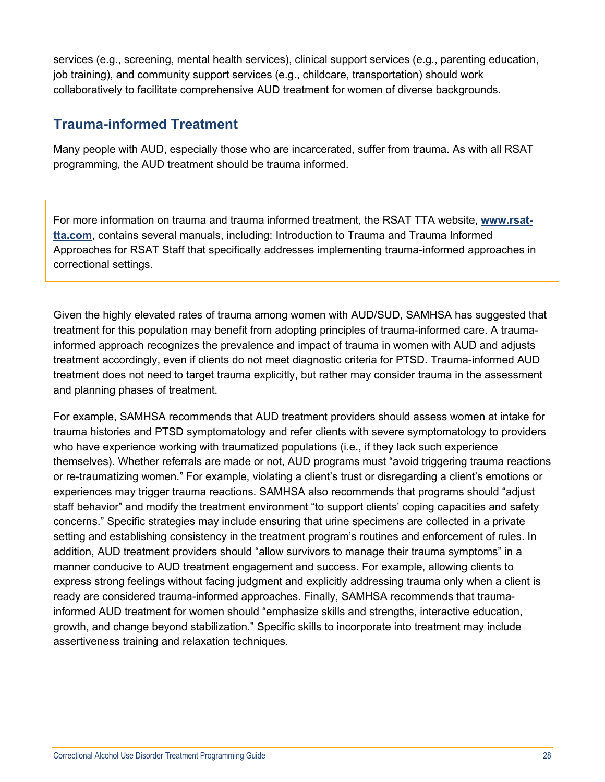services (e.g., screening, mental health services), clinical support services (e.g., parenting education, job training), and community support services (e.g., childcare, transportation) should work collaboratively to facilitate comprehensive AUD treatment for women of diverse backgrounds.

## <span id="page-27-0"></span>**Trauma-informed Treatment**

Many people with AUD, especially those who are incarcerated, suffer from trauma. As with all RSAT programming, the AUD treatment should be trauma informed.

For more information on trauma and trauma informed treatment, the RSAT TTA website, **[www.rsat](http://www.rsat-tta.com/)[tta.com](http://www.rsat-tta.com/)**, contains several manuals, including: Introduction to Trauma and Trauma Informed Approaches for RSAT Staff that specifically addresses implementing trauma-informed approaches in correctional settings.

Given the highly elevated rates of trauma among women with AUD/SUD, SAMHSA has suggested that treatment for this population may benefit from adopting principles of trauma-informed care. A traumainformed approach recognizes the prevalence and impact of trauma in women with AUD and adjusts treatment accordingly, even if clients do not meet diagnostic criteria for PTSD. Trauma-informed AUD treatment does not need to target trauma explicitly, but rather may consider trauma in the assessment and planning phases of treatment.

For example, SAMHSA recommends that AUD treatment providers should assess women at intake for trauma histories and PTSD symptomatology and refer clients with severe symptomatology to providers who have experience working with traumatized populations (i.e., if they lack such experience themselves). Whether referrals are made or not, AUD programs must "avoid triggering trauma reactions or re-traumatizing women." For example, violating a client's trust or disregarding a client's emotions or experiences may trigger trauma reactions. SAMHSA also recommends that programs should "adjust staff behavior" and modify the treatment environment "to support clients' coping capacities and safety concerns." Specific strategies may include ensuring that urine specimens are collected in a private setting and establishing consistency in the treatment program's routines and enforcement of rules. In addition, AUD treatment providers should "allow survivors to manage their trauma symptoms" in a manner conducive to AUD treatment engagement and success. For example, allowing clients to express strong feelings without facing judgment and explicitly addressing trauma only when a client is ready are considered trauma-informed approaches. Finally, SAMHSA recommends that traumainformed AUD treatment for women should "emphasize skills and strengths, interactive education, growth, and change beyond stabilization." Specific skills to incorporate into treatment may include assertiveness training and relaxation techniques.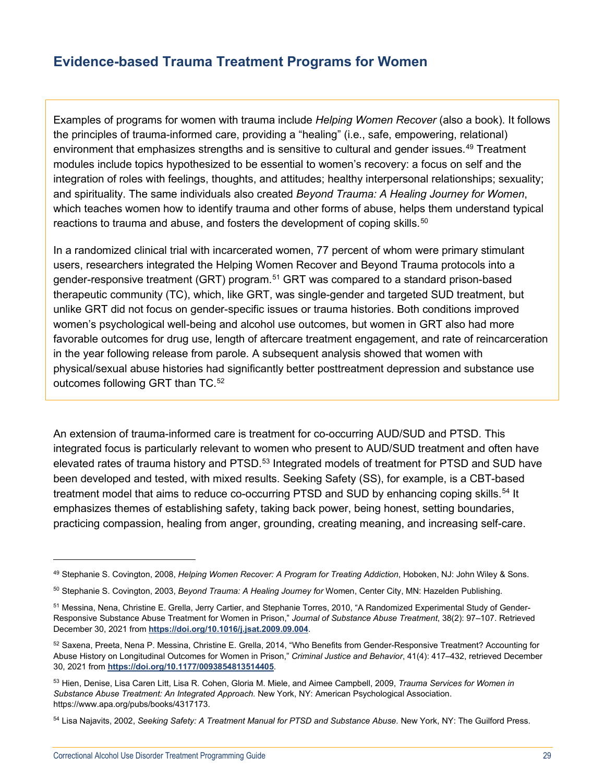## <span id="page-28-0"></span>**Evidence-based Trauma Treatment Programs for Women**

Examples of programs for women with trauma include *Helping Women Recover* (also a book). It follows the principles of trauma-informed care, providing a "healing" (i.e., safe, empowering, relational) environment that emphasizes strengths and is sensitive to cultural and gender issues.[49](#page-28-1) Treatment modules include topics hypothesized to be essential to women's recovery: a focus on self and the integration of roles with feelings, thoughts, and attitudes; healthy interpersonal relationships; sexuality; and spirituality. The same individuals also created *Beyond Trauma: A Healing Journey for Women*, which teaches women how to identify trauma and other forms of abuse, helps them understand typical reactions to trauma and abuse, and fosters the development of coping skills.<sup>[50](#page-28-2)</sup>

In a randomized clinical trial with incarcerated women, 77 percent of whom were primary stimulant users, researchers integrated the Helping Women Recover and Beyond Trauma protocols into a gender-responsive treatment (GRT) program.[51](#page-28-3) GRT was compared to a standard prison-based therapeutic community (TC), which, like GRT, was single-gender and targeted SUD treatment, but unlike GRT did not focus on gender-specific issues or trauma histories. Both conditions improved women's psychological well-being and alcohol use outcomes, but women in GRT also had more favorable outcomes for drug use, length of aftercare treatment engagement, and rate of reincarceration in the year following release from parole. A subsequent analysis showed that women with physical/sexual abuse histories had significantly better posttreatment depression and substance use outcomes following GRT than TC.<sup>[52](#page-28-4)</sup>

An extension of trauma-informed care is treatment for co-occurring AUD/SUD and PTSD. This integrated focus is particularly relevant to women who present to AUD/SUD treatment and often have elevated rates of trauma history and PTSD.<sup>[53](#page-28-5)</sup> Integrated models of treatment for PTSD and SUD have been developed and tested, with mixed results. Seeking Safety (SS), for example, is a CBT-based treatment model that aims to reduce co-occurring PTSD and SUD by enhancing coping skills.<sup>[54](#page-28-6)</sup> It emphasizes themes of establishing safety, taking back power, being honest, setting boundaries, practicing compassion, healing from anger, grounding, creating meaning, and increasing self-care.

<span id="page-28-1"></span><sup>49</sup> Stephanie S. Covington, 2008, *Helping Women Recover: A Program for Treating Addiction*, Hoboken, NJ: John Wiley & Sons.

<span id="page-28-2"></span><sup>50</sup> Stephanie S. Covington, 2003, *Beyond Trauma: A Healing Journey for* Women, Center City, MN: Hazelden Publishing.

<span id="page-28-3"></span><sup>51</sup> Messina, Nena, Christine E. Grella, Jerry Cartier, and Stephanie Torres, 2010, "A Randomized Experimental Study of Gender-Responsive Substance Abuse Treatment for Women in Prison," *Journal of Substance Abuse Treatment*, 38(2): 97–107. Retrieved December 30, 2021 from **<https://doi.org/10.1016/j.jsat.2009.09.004>**.

<span id="page-28-4"></span><sup>52</sup> Saxena, Preeta, Nena P. Messina, Christine E. Grella, 2014, "Who Benefits from Gender-Responsive Treatment? Accounting for Abuse History on Longitudinal Outcomes for Women in Prison," *Criminal Justice and Behavior*, 41(4): 417–432, retrieved December 30, 2021 from **<https://doi.org/10.1177/0093854813514405>**.

<span id="page-28-5"></span><sup>53</sup> Hien, Denise, Lisa Caren Litt, Lisa R. Cohen, Gloria M. Miele, and Aimee Campbell, 2009, *Trauma Services for Women in Substance Abuse Treatment: An Integrated Approach.* New York, NY: American Psychological Association. https://www.apa.org/pubs/books/4317173.

<span id="page-28-6"></span><sup>54</sup> Lisa Najavits, 2002, *Seeking Safety: A Treatment Manual for PTSD and Substance Abuse.* New York, NY: The Guilford Press.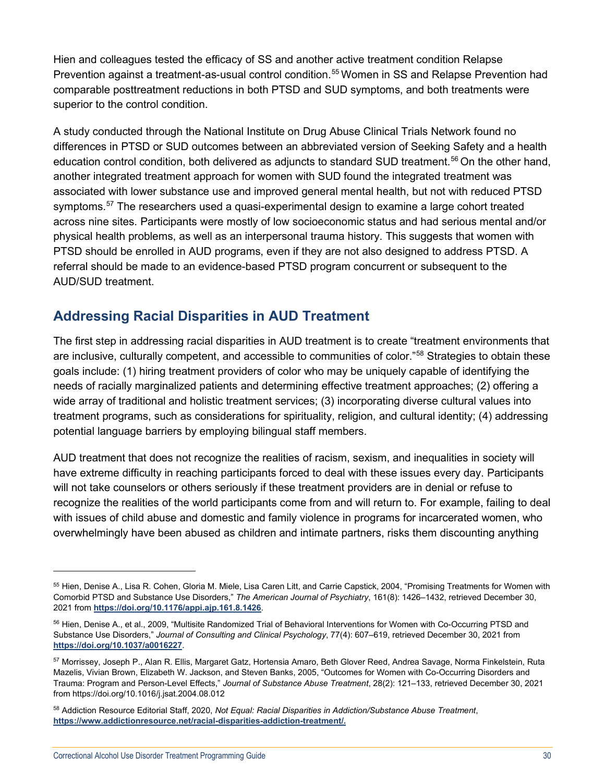Hien and colleagues tested the efficacy of SS and another active treatment condition Relapse Prevention against a treatment-as-usual control condition.<sup>[55](#page-29-1)</sup> Women in SS and Relapse Prevention had comparable posttreatment reductions in both PTSD and SUD symptoms, and both treatments were superior to the control condition.

A study conducted through the National Institute on Drug Abuse Clinical Trials Network found no differences in PTSD or SUD outcomes between an abbreviated version of Seeking Safety and a health education control condition, both delivered as adjuncts to standard SUD treatment.[56](#page-29-2) On the other hand, another integrated treatment approach for women with SUD found the integrated treatment was associated with lower substance use and improved general mental health, but not with reduced PTSD symptoms.<sup>[57](#page-29-3)</sup> The researchers used a quasi-experimental design to examine a large cohort treated across nine sites. Participants were mostly of low socioeconomic status and had serious mental and/or physical health problems, as well as an interpersonal trauma history. This suggests that women with PTSD should be enrolled in AUD programs, even if they are not also designed to address PTSD. A referral should be made to an evidence-based PTSD program concurrent or subsequent to the AUD/SUD treatment.

## <span id="page-29-0"></span>**Addressing Racial Disparities in AUD Treatment**

The first step in addressing racial disparities in AUD treatment is to create "treatment environments that are inclusive, culturally competent, and accessible to communities of color.["58](#page-29-4) Strategies to obtain these goals include: (1) hiring treatment providers of color who may be uniquely capable of identifying the needs of racially marginalized patients and determining effective treatment approaches; (2) offering a wide array of traditional and holistic treatment services; (3) incorporating diverse cultural values into treatment programs, such as considerations for spirituality, religion, and cultural identity; (4) addressing potential language barriers by employing bilingual staff members.

AUD treatment that does not recognize the realities of racism, sexism, and inequalities in society will have extreme difficulty in reaching participants forced to deal with these issues every day. Participants will not take counselors or others seriously if these treatment providers are in denial or refuse to recognize the realities of the world participants come from and will return to. For example, failing to deal with issues of child abuse and domestic and family violence in programs for incarcerated women, who overwhelmingly have been abused as children and intimate partners, risks them discounting anything

<span id="page-29-1"></span><sup>55</sup> Hien, Denise A., Lisa R. Cohen, Gloria M. Miele, Lisa Caren Litt, and Carrie Capstick, 2004, "Promising Treatments for Women with Comorbid PTSD and Substance Use Disorders," *The American Journal of Psychiatry*, 161(8): 1426–1432, retrieved December 30, 2021 from **<https://doi.org/10.1176/appi.ajp.161.8.1426>**.

<span id="page-29-2"></span><sup>56</sup> Hien, Denise A., et al., 2009, "Multisite Randomized Trial of Behavioral Interventions for Women with Co-Occurring PTSD and Substance Use Disorders," *Journal of Consulting and Clinical Psychology*, 77(4): 607–619, retrieved December 30, 2021 from **<https://doi.org/10.1037/a0016227>**.

<span id="page-29-3"></span><sup>57</sup> Morrissey, Joseph P., Alan R. Ellis, Margaret Gatz, Hortensia Amaro, Beth Glover Reed, Andrea Savage, Norma Finkelstein, Ruta Mazelis, Vivian Brown, Elizabeth W. Jackson, and Steven Banks, 2005, "Outcomes for Women with Co-Occurring Disorders and Trauma: Program and Person-Level Effects," *Journal of Substance Abuse Treatment*, 28(2): 121–133, retrieved December 30, 2021 from https://doi.org/10.1016/j.jsat.2004.08.012

<span id="page-29-4"></span><sup>58</sup> Addiction Resource Editorial Staff, 2020, *Not Equal: Racial Disparities in Addiction/Substance Abuse Treatment*, **[https://www.addictionresource.net/racial-disparities-addiction-treatment/.](https://www.addictionresource.net/racial-disparities-addiction-treatment/)**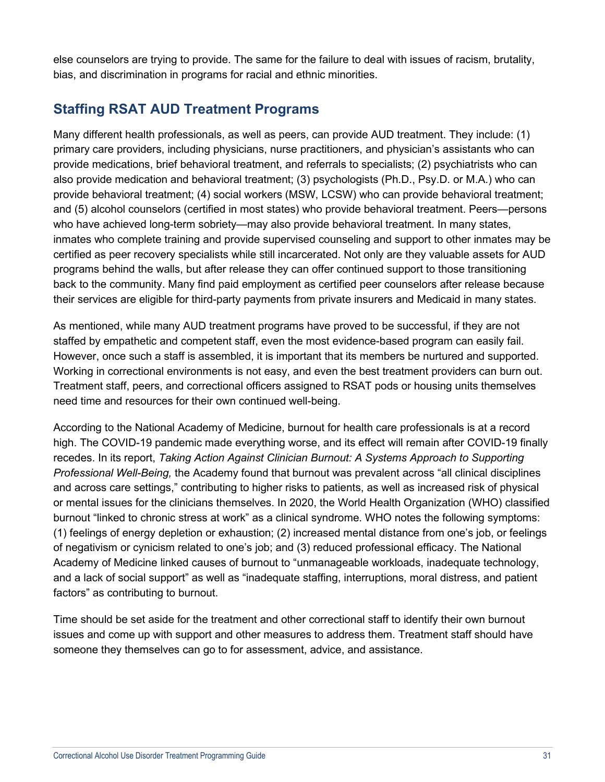else counselors are trying to provide. The same for the failure to deal with issues of racism, brutality, bias, and discrimination in programs for racial and ethnic minorities.

## <span id="page-30-0"></span>**Staffing RSAT AUD Treatment Programs**

Many different health professionals, as well as peers, can provide AUD treatment. They include: (1) primary care providers, including physicians, nurse practitioners, and physician's assistants who can provide medications, brief behavioral treatment, and referrals to specialists; (2) psychiatrists who can also provide medication and behavioral treatment; (3) psychologists (Ph.D., Psy.D. or M.A.) who can provide behavioral treatment; (4) social workers (MSW, LCSW) who can provide behavioral treatment; and (5) alcohol counselors (certified in most states) who provide behavioral treatment. Peers—persons who have achieved long-term sobriety—may also provide behavioral treatment. In many states, inmates who complete training and provide supervised counseling and support to other inmates may be certified as peer recovery specialists while still incarcerated. Not only are they valuable assets for AUD programs behind the walls, but after release they can offer continued support to those transitioning back to the community. Many find paid employment as certified peer counselors after release because their services are eligible for third-party payments from private insurers and Medicaid in many states.

As mentioned, while many AUD treatment programs have proved to be successful, if they are not staffed by empathetic and competent staff, even the most evidence-based program can easily fail. However, once such a staff is assembled, it is important that its members be nurtured and supported. Working in correctional environments is not easy, and even the best treatment providers can burn out. Treatment staff, peers, and correctional officers assigned to RSAT pods or housing units themselves need time and resources for their own continued well-being.

According to the National Academy of Medicine, burnout for health care professionals is at a record high. The COVID-19 pandemic made everything worse, and its effect will remain after COVID-19 finally recedes. In its report, *Taking Action Against Clinician Burnout: A Systems Approach to Supporting Professional Well-Being,* the Academy found that burnout was prevalent across "all clinical disciplines and across care settings," contributing to higher risks to patients, as well as increased risk of physical or mental issues for the clinicians themselves. In 2020, the World Health Organization (WHO) classified burnout "linked to chronic stress at work" as a clinical syndrome. WHO notes the following symptoms: (1) feelings of energy depletion or exhaustion; (2) increased mental distance from one's job, or feelings of negativism or cynicism related to one's job; and (3) reduced professional efficacy. The National Academy of Medicine linked causes of burnout to "unmanageable workloads, inadequate technology, and a lack of social support" as well as "inadequate staffing, interruptions, moral distress, and patient factors" as contributing to burnout.

Time should be set aside for the treatment and other correctional staff to identify their own burnout issues and come up with support and other measures to address them. Treatment staff should have someone they themselves can go to for assessment, advice, and assistance.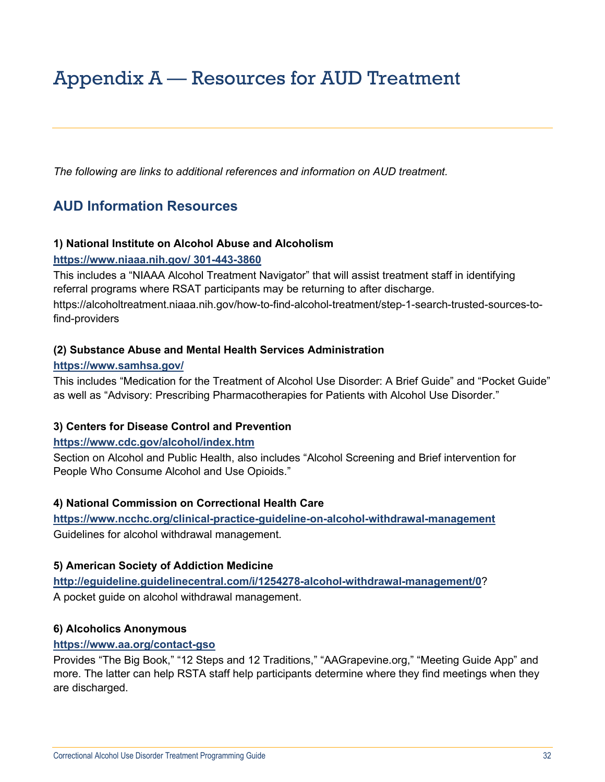## <span id="page-31-0"></span>Appendix A — Resources for AUD Treatment

*The following are links to additional references and information on AUD treatment.*

## **AUD Information Resources**

#### **1) National Institute on Alcohol Abuse and Alcoholism**

#### **<https://www.niaaa.nih.gov/> 301-443-3860**

This includes a "NIAAA Alcohol Treatment Navigator" that will assist treatment staff in identifying referral programs where RSAT participants may be returning to after discharge.

https://alcoholtreatment.niaaa.nih.gov/how-to-find-alcohol-treatment/step-1-search-trusted-sources-tofind-providers

#### **(2) Substance Abuse and Mental Health Services Administration**

#### **<https://www.samhsa.gov/>**

This includes "Medication for the Treatment of Alcohol Use Disorder: A Brief Guide" and "Pocket Guide" as well as "Advisory: Prescribing Pharmacotherapies for Patients with Alcohol Use Disorder."

#### **3) Centers for Disease Control and Prevention**

#### **<https://www.cdc.gov/alcohol/index.htm>**

Section on Alcohol and Public Health, also includes "Alcohol Screening and Brief intervention for People Who Consume Alcohol and Use Opioids."

#### **4) National Commission on Correctional Health Care**

**<https://www.ncchc.org/clinical-practice-guideline-on-alcohol-withdrawal-management>** Guidelines for alcohol withdrawal management.

#### **5) American Society of Addiction Medicine**

**<http://eguideline.guidelinecentral.com/i/1254278-alcohol-withdrawal-management/0>**? A pocket guide on alcohol withdrawal management.

#### **6) Alcoholics Anonymous**

#### **<https://www.aa.org/contact-gso>**

Provides "The Big Book," "12 Steps and 12 Traditions," "AAGrapevine.org," "Meeting Guide App" and more. The latter can help RSTA staff help participants determine where they find meetings when they are discharged.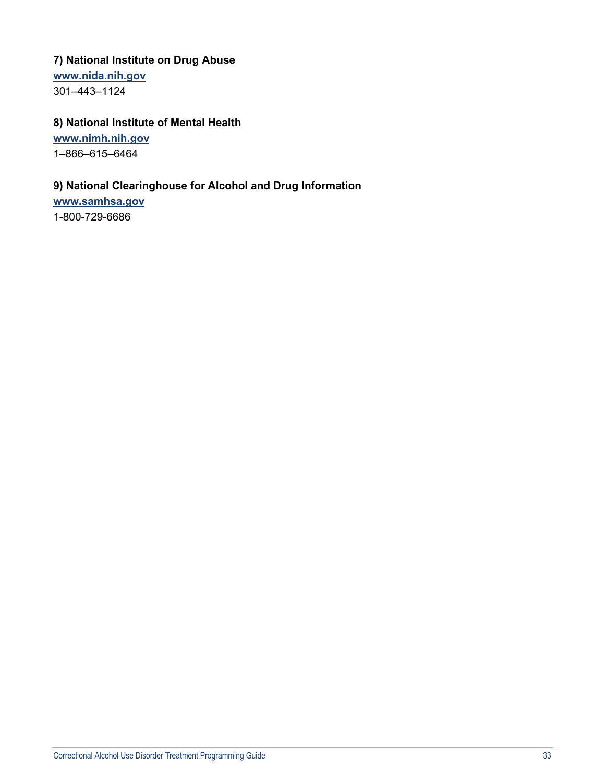## **7) National Institute on Drug Abuse**

**[www.nida.nih.gov](https://www.nida.nih.gov/)**

301–443–1124

## **8) National Institute of Mental Health**

**[www.nimh.nih.gov](https://www.nimh.nih.gov/)**

1–866–615–6464

#### **9) National Clearinghouse for Alcohol and Drug Information**

**[www.samhsa.gov](https://www.samhsa.gov/)**

1-800-729-6686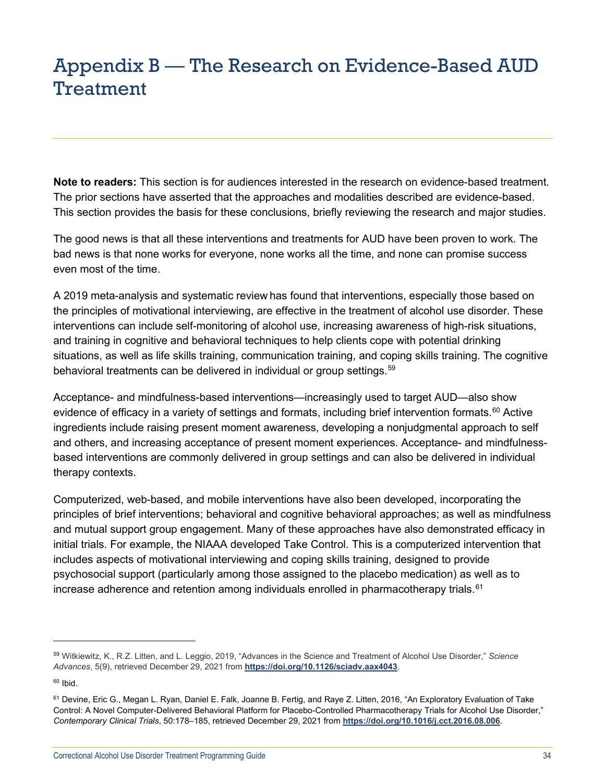## <span id="page-33-0"></span>Appendix B — The Research on Evidence-Based AUD Treatment

**Note to readers:** This section is for audiences interested in the research on evidence-based treatment. The prior sections have asserted that the approaches and modalities described are evidence-based. This section provides the basis for these conclusions, briefly reviewing the research and major studies.

The good news is that all these interventions and treatments for AUD have been proven to work. The bad news is that none works for everyone, none works all the time, and none can promise success even most of the time.

A 2019 meta-analysis and systematic review has found that interventions, especially those based on the principles of motivational interviewing, are effective in the treatment of alcohol use disorder. These interventions can include self-monitoring of alcohol use, increasing awareness of high-risk situations, and training in cognitive and behavioral techniques to help clients cope with potential drinking situations, as well as life skills training, communication training, and coping skills training. The cognitive behavioral treatments can be delivered in individual or group settings.<sup>[59](#page-33-1)</sup>

Acceptance- and mindfulness-based interventions—increasingly used to target AUD—also show evidence of efficacy in a variety of settings and formats, including brief intervention formats.<sup>60</sup> Active ingredients include raising present moment awareness, developing a nonjudgmental approach to self and others, and increasing acceptance of present moment experiences. Acceptance- and mindfulnessbased interventions are commonly delivered in group settings and can also be delivered in individual therapy contexts.

Computerized, web-based, and mobile interventions have also been developed, incorporating the principles of brief interventions; behavioral and cognitive behavioral approaches; as well as mindfulness and mutual support group engagement. Many of these approaches have also demonstrated efficacy in initial trials. For example, the NIAAA developed Take Control. This is a computerized intervention that includes aspects of motivational interviewing and coping skills training, designed to provide psychosocial support (particularly among those assigned to the placebo medication) as well as to increase adherence and retention among individuals enrolled in pharmacotherapy trials. $61$ 

<span id="page-33-1"></span><sup>59</sup> Witkiewitz, K., R.Z. Litten, and L. Leggi[o,](https://advances.sciencemag.org/content/5/9/eaax4043#aff-3) 2019, "Advances in the Science and Treatment of Alcohol Use Disorder," *Science Advances*, 5(9), retrieved December 29, 2021 from **<https://doi.org/10.1126/sciadv.aax4043>**.

<span id="page-33-2"></span> $60$  Ibid.

<span id="page-33-3"></span><sup>61</sup> Devine, Eric G., Megan L. Ryan, Daniel E. Falk, Joanne B. Fertig, and Raye Z. Litten, 2016, "An Exploratory Evaluation of Take Control: A Novel Computer-Delivered Behavioral Platform for Placebo-Controlled Pharmacotherapy Trials for Alcohol Use Disorder," *Contemporary Clinical Trials*, 50:178–185, retrieved December 29, 2021 from **<https://doi.org/10.1016/j.cct.2016.08.006>**.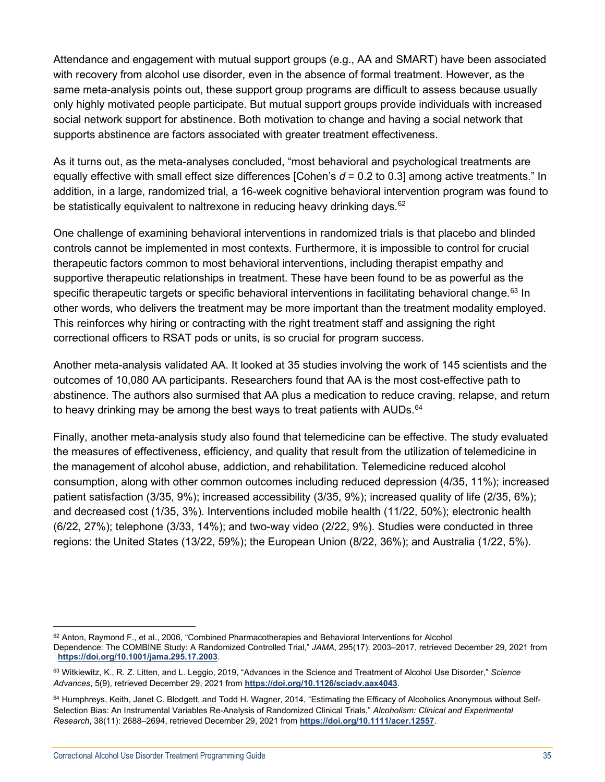Attendance and engagement with mutual support groups (e.g., AA and SMART) have been associated with recovery from alcohol use disorder, even in the absence of formal treatment. However, as the same meta-analysis points out, these support group programs are difficult to assess because usually only highly motivated people participate. But mutual support groups provide individuals with increased social network support for abstinence. Both motivation to change and having a social network that supports abstinence are factors associated with greater treatment effectiveness.

As it turns out, as the meta-analyses concluded, "most behavioral and psychological treatments are equally effective with small effect size differences [Cohen's *d* = 0.2 to 0.3] among active treatments." In addition, in a large, randomized trial, a 16-week cognitive behavioral intervention program was found to be statistically equivalent to naltrexone in reducing heavy drinking days.<sup>[62](#page-34-0)</sup>

One challenge of examining behavioral interventions in randomized trials is that placebo and blinded controls cannot be implemented in most contexts. Furthermore, it is impossible to control for crucial therapeutic factors common to most behavioral interventions, including therapist empathy and supportive therapeutic relationships in treatment. These have been found to be as powerful as the specific therapeutic targets or specific behavioral interventions in facilitating behavioral change.<sup>[63](#page-34-1)</sup> In other words, who delivers the treatment may be more important than the treatment modality employed. This reinforces why hiring or contracting with the right treatment staff and assigning the right correctional officers to RSAT pods or units, is so crucial for program success.

Another meta-analysis validated AA. It looked at 35 studies involving the work of 145 scientists and the outcomes of 10,080 AA participants. Researchers found that AA is the most cost-effective path to abstinence. The authors also surmised that AA plus a medication to reduce craving, relapse, and return to heavy drinking may be among the best ways to treat patients with AUDs.<sup>[64](#page-34-2)</sup>

Finally, another meta-analysis study also found that telemedicine can be effective. The study evaluated the measures of effectiveness, efficiency, and quality that result from the utilization of telemedicine in the management of alcohol abuse, addiction, and rehabilitation. Telemedicine reduced alcohol consumption, along with other common outcomes including reduced depression (4/35, 11%); increased patient satisfaction (3/35, 9%); increased accessibility (3/35, 9%); increased quality of life (2/35, 6%); and decreased cost (1/35, 3%). Interventions included mobile health (11/22, 50%); electronic health (6/22, 27%); telephone (3/33, 14%); and two-way video (2/22, 9%). Studies were conducted in three regions: the United States (13/22, 59%); the European Union (8/22, 36%); and Australia (1/22, 5%).

<span id="page-34-0"></span> $62$  Anton, Raymond F., et al., 2006, "Combined Pharmacotherapies and Behavioral Interventions for Alcohol Dependence: The COMBINE Study: A Randomized Controlled Trial," *JAMA*, 295(17): 2003–2017, retrieved December 29, 2021 from **<https://doi.org/10.1001/jama.295.17.2003>**.

<span id="page-34-1"></span><sup>63</sup> Witkiewitz, K., R. Z. Litten, and L. Leggio, 2019, "Advances in the Science and Treatment of Alcohol Use Disorder," *Science Advances*, 5(9), retrieved December 29, 2021 from **<https://doi.org/10.1126/sciadv.aax4043>**.

<span id="page-34-2"></span><sup>&</sup>lt;sup>64</sup> Humphreys, Keith, Janet C. Blodgett, and Todd H. Wagner, 2014, "Estimating the Efficacy of Alcoholics Anonymous without Self-Selection Bias: An Instrumental Variables Re-Analysis of Randomized Clinical Trials," *Alcoholism: Clinical and Experimental Research*, 38(11): 2688–2694, retrieved December 29, 2021 from **<https://doi.org/10.1111/acer.12557>**.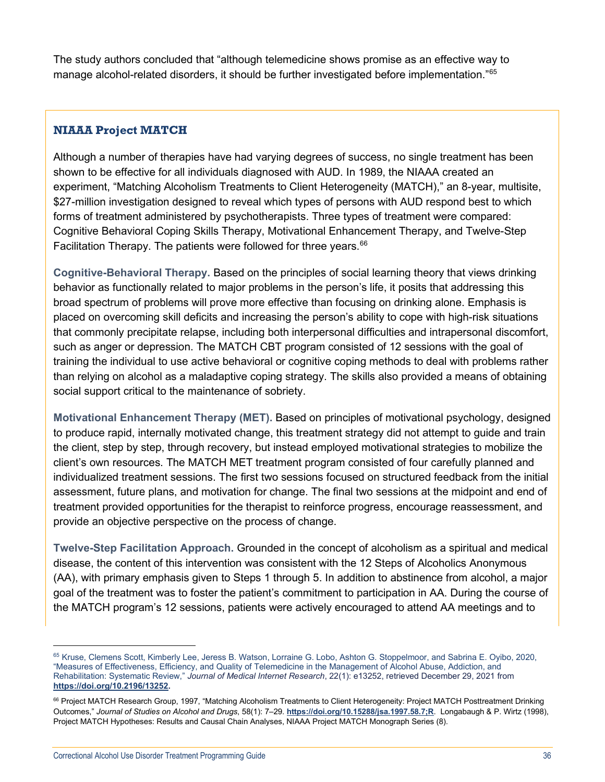The study authors concluded that "although telemedicine shows promise as an effective way to manage alcohol-related disorders, it should be further investigated before implementation."<sup>[65](#page-35-0)</sup>

## **NIAAA Project MATCH**

Although a number of therapies have had varying degrees of success, no single treatment has been shown to be effective for all individuals diagnosed with AUD. In 1989, the NIAAA created an experiment, "Matching Alcoholism Treatments to Client Heterogeneity (MATCH)," an 8-year, multisite, \$27-million investigation designed to reveal which types of persons with AUD respond best to which forms of treatment administered by psychotherapists. Three types of treatment were compared: Cognitive Behavioral Coping Skills Therapy, Motivational Enhancement Therapy, and Twelve-Step Facilitation Therapy. The patients were followed for three years.<sup>[66](#page-35-1)</sup>

**Cognitive-Behavioral Therapy.** Based on the principles of social learning theory that views drinking behavior as functionally related to major problems in the person's life, it posits that addressing this broad spectrum of problems will prove more effective than focusing on drinking alone. Emphasis is placed on overcoming skill deficits and increasing the person's ability to cope with high-risk situations that commonly precipitate relapse, including both interpersonal difficulties and intrapersonal discomfort, such as anger or depression. The MATCH CBT program consisted of 12 sessions with the goal of training the individual to use active behavioral or cognitive coping methods to deal with problems rather than relying on alcohol as a maladaptive coping strategy. The skills also provided a means of obtaining social support critical to the maintenance of sobriety.

**Motivational Enhancement Therapy (MET).** Based on principles of motivational psychology, designed to produce rapid, internally motivated change, this treatment strategy did not attempt to guide and train the client, step by step, through recovery, but instead employed motivational strategies to mobilize the client's own resources. The MATCH MET treatment program consisted of four carefully planned and individualized treatment sessions. The first two sessions focused on structured feedback from the initial assessment, future plans, and motivation for change. The final two sessions at the midpoint and end of treatment provided opportunities for the therapist to reinforce progress, encourage reassessment, and provide an objective perspective on the process of change.

**Twelve-Step Facilitation Approach.** Grounded in the concept of alcoholism as a spiritual and medical disease, the content of this intervention was consistent with the 12 Steps of Alcoholics Anonymous (AA), with primary emphasis given to Steps 1 through 5. In addition to abstinence from alcohol, a major goal of the treatment was to foster the patient's commitment to participation in AA. During the course of the MATCH program's 12 sessions, patients were actively encouraged to attend AA meetings and to

<span id="page-35-0"></span><sup>65</sup> Kruse, Clemens Scott, Kimberly Lee, Jeress B. Watson, Lorraine G. Lobo, Ashton G. Stoppelmoor, and Sabrina E. Oyibo, 2020, "Measures of Effectiveness, Efficiency, and Quality of Telemedicine in the Management of Alcohol Abuse, Addiction, and Rehabilitation: Systematic Review," *Journal of Medical Internet Research*, 22(1): e13252, retrieved December 29, 2021 from **[https://doi.org/10.2196/13252.](https://doi.org/10.2196/13252)**

<span id="page-35-1"></span><sup>66</sup> Project MATCH Research Group, 1997, "Matching Alcoholism Treatments to Client Heterogeneity: Project MATCH Posttreatment Drinking Outcomes," *Journal of Studies on Alcohol and Drugs*, 58(1): 7–29. **<https://doi.org/10.15288/jsa.1997.58.7;R>**. Longabaugh & P. Wirtz (1998), Project MATCH Hypotheses: Results and Causal Chain Analyses, NIAAA Project MATCH Monograph Series (8).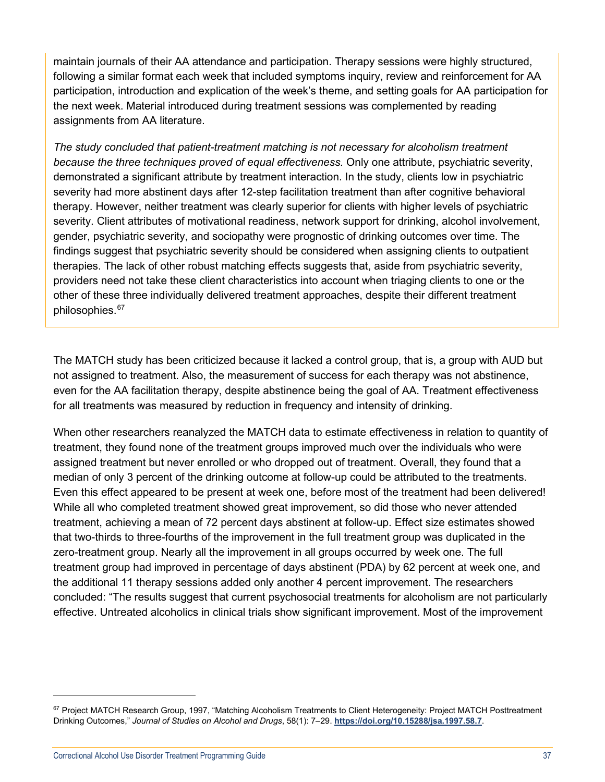maintain journals of their AA attendance and participation. Therapy sessions were highly structured, following a similar format each week that included symptoms inquiry, review and reinforcement for AA participation, introduction and explication of the week's theme, and setting goals for AA participation for the next week. Material introduced during treatment sessions was complemented by reading assignments from AA literature.

*The study concluded that patient-treatment matching is not necessary for alcoholism treatment because the three techniques proved of equal effectiveness.* Only one attribute, psychiatric severity, demonstrated a significant attribute by treatment interaction. In the study, clients low in psychiatric severity had more abstinent days after 12-step facilitation treatment than after cognitive behavioral therapy. However, neither treatment was clearly superior for clients with higher levels of psychiatric severity. Client attributes of motivational readiness, network support for drinking, alcohol involvement, gender, psychiatric severity, and sociopathy were prognostic of drinking outcomes over time. The findings suggest that psychiatric severity should be considered when assigning clients to outpatient therapies. The lack of other robust matching effects suggests that, aside from psychiatric severity, providers need not take these client characteristics into account when triaging clients to one or the other of these three individually delivered treatment approaches, despite their different treatment philosophies.<sup>[67](#page-36-0)</sup>

The MATCH study has been criticized because it lacked a control group, that is, a group with AUD but not assigned to treatment. Also, the measurement of success for each therapy was not abstinence, even for the AA facilitation therapy, despite abstinence being the goal of AA. Treatment effectiveness for all treatments was measured by reduction in frequency and intensity of drinking.

When other researchers reanalyzed the MATCH data to estimate effectiveness in relation to quantity of treatment, they found none of the treatment groups improved much over the individuals who were assigned treatment but never enrolled or who dropped out of treatment. Overall, they found that a median of only 3 percent of the drinking outcome at follow-up could be attributed to the treatments. Even this effect appeared to be present at week one, before most of the treatment had been delivered! While all who completed treatment showed great improvement, so did those who never attended treatment, achieving a mean of 72 percent days abstinent at follow-up. Effect size estimates showed that two-thirds to three-fourths of the improvement in the full treatment group was duplicated in the zero-treatment group. Nearly all the improvement in all groups occurred by week one. The full treatment group had improved in percentage of days abstinent (PDA) by 62 percent at week one, and the additional 11 therapy sessions added only another 4 percent improvement. The researchers concluded: "The results suggest that current psychosocial treatments for alcoholism are not particularly effective. Untreated alcoholics in clinical trials show significant improvement. Most of the improvement

<span id="page-36-0"></span><sup>67</sup> Project MATCH Research Group, 1997, "Matching Alcoholism Treatments to Client Heterogeneity: Project MATCH Posttreatment Drinking Outcomes," *Journal of Studies on Alcohol and Drugs*, 58(1): 7–29. **<https://doi.org/10.15288/jsa.1997.58.7>**.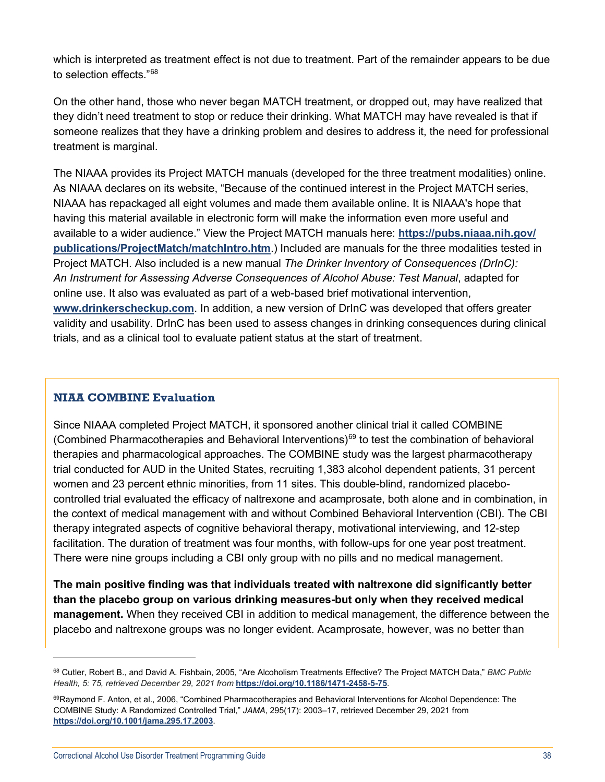which is interpreted as treatment effect is not due to treatment. Part of the remainder appears to be due to selection effects."[68](#page-37-0)

On the other hand, those who never began MATCH treatment, or dropped out, may have realized that they didn't need treatment to stop or reduce their drinking. What MATCH may have revealed is that if someone realizes that they have a drinking problem and desires to address it, the need for professional treatment is marginal.

The NIAAA provides its Project MATCH manuals (developed for the three treatment modalities) online. As NIAAA declares on its website, "Because of the continued interest in the Project MATCH series, NIAAA has repackaged all eight volumes and made them available online. It is NIAAA's hope that having this material available in electronic form will make the information even more useful and available to a wider audience." View the Project MATCH manuals here: **[https://pubs.niaaa.nih.gov/](https://pubs.niaaa.nih.gov/publications/ProjectMatch/matchIntro.htm) [publications/ProjectMatch/matchIntro.htm](https://pubs.niaaa.nih.gov/publications/ProjectMatch/matchIntro.htm)**.) Included are manuals for the three modalities tested in Project MATCH. Also included is a new manual *[The Drinker Inventory of Consequences \(DrInC\):](https://pubs.niaaa.nih.gov/publications/ProjectMatch/match04.pdf)  [An Instrument for Assessing Adverse Consequences of Alcohol Abuse: Test Manual](https://pubs.niaaa.nih.gov/publications/ProjectMatch/match04.pdf)*, adapted for online use. It also was evaluated as part of a web-based brief motivational intervention, **[www.drinkerscheckup.com](http://www.drinkerscheckup.com/)**. In addition, a new version of DrInC was developed that offers greater validity and usability. DrInC has been used to assess changes in drinking consequences during clinical trials, and as a clinical tool to evaluate patient status at the start of treatment.

## **NIAA COMBINE Evaluation**

Since NIAAA completed Project MATCH, it sponsored another clinical trial it called COMBINE (Combined Pharmacotherapies and Behavioral Interventions) $69$  to test the combination of behavioral therapies and pharmacological approaches. The COMBINE study was the largest pharmacotherapy trial conducted for AUD in the United States, recruiting 1,383 alcohol dependent patients, 31 percent women and 23 percent ethnic minorities, from 11 sites. This double-blind, randomized placebocontrolled trial evaluated the efficacy of naltrexone and acamprosate, both alone and in combination, in the context of medical management with and without Combined Behavioral Intervention (CBI). The CBI therapy integrated aspects of cognitive behavioral therapy, motivational interviewing, and 12-step facilitation. The duration of treatment was four months, with follow-ups for one year post treatment. There were nine groups including a CBI only group with no pills and no medical management.

**The main positive finding was that individuals treated with naltrexone did significantly better than the placebo group on various drinking measures-but only when they received medical management.** When they received CBI in addition to medical management, the difference between the placebo and naltrexone groups was no longer evident. Acamprosate, however, was no better than

<span id="page-37-0"></span><sup>68</sup> Cutler, Robert B., and David A. Fishbain, 2005, "Are Alcoholism Treatments Effective? The Project MATCH Data," *BMC Public Health, 5: 75, retrieved December 29, 2021 from* **<https://doi.org/10.1186/1471-2458-5-75>***.*

<span id="page-37-1"></span><sup>69</sup>Raymond F. Anton, et al., 2006, "Combined Pharmacotherapies and Behavioral Interventions for Alcohol Dependence: The COMBINE Study: A Randomized Controlled Trial," *JAMA*, 295(17): 2003–17, retrieved December 29, 2021 from **<https://doi.org/10.1001/jama.295.17.2003>**.